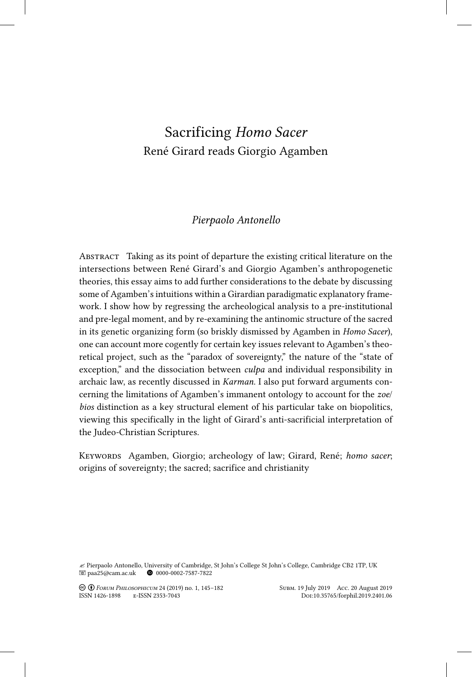# Sacrificing *Homo Sacer* René Girard reads Giorgio Agamben

## *Pierpaolo Antonello*

Abstract Taking as its point of departure the existing critical literature on the intersections between René Girard's and Giorgio Agamben's anthropogenetic theories, this essay aims to add further considerations to the debate by discussing some of Agamben's intuitions within a Girardian paradigmatic explanatory framework. I show how by regressing the archeological analysis to a pre-institutional and pre-legal moment, and by re-examining the antinomic structure of the sacred in its genetic organizing form (so briskly dismissed by Agamben in *Homo Sacer*), one can account more cogently for certain key issues relevant to Agamben's theoretical project, such as the "paradox of sovereignty," the nature of the "state of exception," and the dissociation between *culpa* and individual responsibility in archaic law, as recently discussed in *Karman*. I also put forward arguments concerning the limitations of Agamben's immanent ontology to account for the *zoe*/ *bios* distinction as a key structural element of his particular take on biopolitics, viewing this specifically in the light of Girard's anti-sacrificial interpretation of the Judeo-Christian Scriptures.

Keywords Agamben, Giorgio; archeology of law; Girard, René; *homo sacer*; origins of sovereignty; the sacred; sacrifice and christianity

 $\leq$  Pierpaolo Antonello, University of Cambridge, St John's College St John's College, Cambridge CB2 1TP, UK  $\blacksquare$  paa25@cam.ac.uk  $\blacksquare$  0000-0002-7587-7822  $\bullet$  0000-0002-7587-7822

! " *Forum Philosophicum* 24 (2019) no. 1, 145–182 Subm. 19 July 2019 Acc. 20 August 2019 ISSN 1426-1898 E-ISSN 2353-7043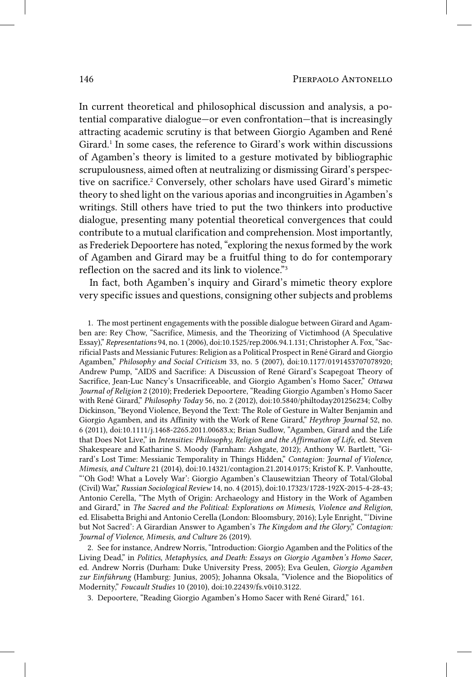In current theoretical and philosophical discussion and analysis, a potential comparative dialogue—or even confrontation—that is increasingly attracting academic scrutiny is that between Giorgio Agamben and René Girard.<sup>1</sup> In some cases, the reference to Girard's work within discussions of Agamben's theory is limited to a gesture motivated by bibliographic scrupulousness, aimed often at neutralizing or dismissing Girard's perspective on sacrifice.<sup>2</sup> Conversely, other scholars have used Girard's mimetic theory to shed light on the various aporias and incongruities in Agamben's writings. Still others have tried to put the two thinkers into productive dialogue, presenting many potential theoretical convergences that could contribute to a mutual clarification and comprehension. Most importantly, as Frederiek Depoortere has noted, "exploring the nexus formed by the work of Agamben and Girard may be a fruitful thing to do for contemporary reflection on the sacred and its link to violence."3

In fact, both Agamben's inquiry and Girard's mimetic theory explore very specific issues and questions, consigning other subjects and problems

1. The most pertinent engagements with the possible dialogue between Girard and Agamben are: Rey Chow, "Sacrifice, Mimesis, and the Theorizing of Victimhood (A Speculative Essay)," *Representations* 94, no. 1 (2006), doi:10.1525/rep.2006.94.1.131; Christopher A. Fox, "Sacrificial Pasts and Messianic Futures: Religion as a Political Prospect in René Girard and Giorgio Agamben," *Philosophy and Social Criticism* 33, no. 5 (2007), doi:10.1177/0191453707078920; Andrew Pump, "AIDS and Sacrifice: A Discussion of René Girard's Scapegoat Theory of Sacrifice, Jean-Luc Nancy's Unsacrificeable, and Giorgio Agamben's Homo Sacer," *Ottawa Journal of Religion* 2 (2010); Frederiek Depoortere, "Reading Giorgio Agamben's Homo Sacer with René Girard," *Philosophy Today* 56, no. 2 (2012), doi:10.5840/philtoday201256234; Colby Dickinson, "Beyond Violence, Beyond the Text: The Role of Gesture in Walter Benjamin and Giorgio Agamben, and its Affinity with the Work of Rene Girard," *Heythrop Journal* 52, no. 6 (2011), doi:10.1111/j.1468-2265.2011.00683.x; Brian Sudlow, "Agamben, Girard and the Life that Does Not Live," in *Intensities: Philosophy, Religion and the Affirmation of Life*, ed. Steven Shakespeare and Katharine S. Moody (Farnham: Ashgate, 2012); Anthony W. Bartlett, "Girard's Lost Time: Messianic Temporality in Things Hidden," *Contagion: Journal of Violence, Mimesis, and Culture* 21 (2014), doi:10.14321/contagion.21.2014.0175; Kristof K. P. Vanhoutte, "'Oh God! What a Lovely War': Giorgio Agamben's Clausewitzian Theory of Total/Global (Civil) War," *Russian Sociological Review* 14, no. 4 (2015), doi:10.17323/1728-192X-2015-4-28-43; Antonio Cerella, "The Myth of Origin: Archaeology and History in the Work of Agamben and Girard," in *The Sacred and the Political: Explorations on Mimesis, Violence and Religion*, ed. Elisabetta Brighi and Antonio Cerella (London: Bloomsbury, 2016); Lyle Enright, "'Divine but Not Sacred': A Girardian Answer to Agamben's *The Kingdom and the Glory*," *Contagion: Journal of Violence, Mimesis, and Culture* 26 (2019).

2. See for instance, Andrew Norris, "Introduction: Giorgio Agamben and the Politics of the Living Dead," in *Politics, Metaphysics, and Death: Essays on Giorgio Agamben's Homo Sacer*, ed. Andrew Norris (Durham: Duke University Press, 2005); Eva Geulen, *Giorgio Agamben zur Einführung* (Hamburg: Junius, 2005); Johanna Oksala, "Violence and the Biopolitics of Modernity," *Foucault Studies* 10 (2010), doi:10.22439/fs.v0i10.3122.

3. Depoortere, "Reading Giorgio Agamben's Homo Sacer with René Girard," 161.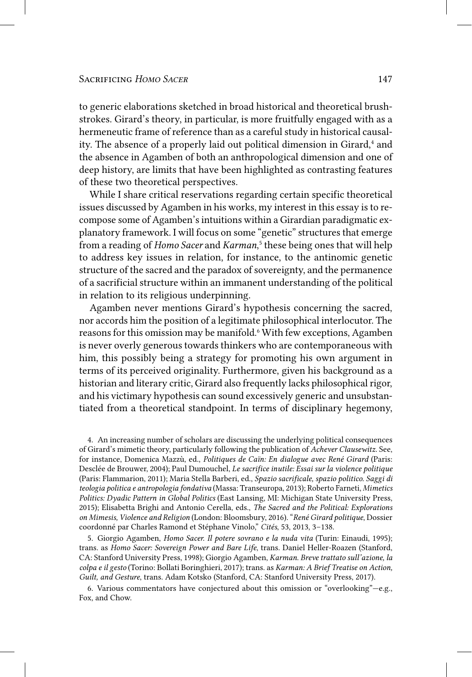to generic elaborations sketched in broad historical and theoretical brushstrokes. Girard's theory, in particular, is more fruitfully engaged with as a hermeneutic frame of reference than as a careful study in historical causality. The absence of a properly laid out political dimension in Girard,<sup>4</sup> and the absence in Agamben of both an anthropological dimension and one of deep history, are limits that have been highlighted as contrasting features of these two theoretical perspectives.

While I share critical reservations regarding certain specific theoretical issues discussed by Agamben in his works, my interest in this essay is to recompose some of Agamben's intuitions within a Girardian paradigmatic explanatory framework. I will focus on some "genetic" structures that emerge from a reading of *Homo Sacer* and *Karman*, 5 these being ones that will help to address key issues in relation, for instance, to the antinomic genetic structure of the sacred and the paradox of sovereignty, and the permanence of a sacrificial structure within an immanent understanding of the political in relation to its religious underpinning.

Agamben never mentions Girard's hypothesis concerning the sacred, nor accords him the position of a legitimate philosophical interlocutor. The reasons for this omission may be manifold.<sup>6</sup> With few exceptions, Agamben is never overly generous towards thinkers who are contemporaneous with him, this possibly being a strategy for promoting his own argument in terms of its perceived originality. Furthermore, given his background as a historian and literary critic, Girard also frequently lacks philosophical rigor, and his victimary hypothesis can sound excessively generic and unsubstantiated from a theoretical standpoint. In terms of disciplinary hegemony,

4. An increasing number of scholars are discussing the underlying political consequences of Girard's mimetic theory, particularly following the publication of *Achever Clausewitz*. See, for instance, Domenica Mazzù, ed., *Politiques de Caïn: En dialogue avec René Girard* (Paris: Desclée de Brouwer, 2004); Paul Dumouchel, *Le sacrifice inutile: Essai sur la violence politique* (Paris: Flammarion, 2011); Maria Stella Barberi, ed., *Spazio sacrificale, spazio politico. Saggi di teologia politica e antropologia fondativa* (Massa: Transeuropa, 2013); Roberto Farneti, *Mimetics Politics: Dyadic Pattern in Global Politics* (East Lansing, MI: Michigan State University Press, 2015); Elisabetta Brighi and Antonio Cerella, eds., *The Sacred and the Political: Explorations on Mimesis, Violence and Religion* (London: Bloomsbury, 2016). "*René Girard politique*, Dossier coordonné par Charles Ramond et Stéphane Vinolo," *Cités*, 53, 2013, 3–138.

5. Giorgio Agamben, *Homo Sacer. Il potere sovrano e la nuda vita* (Turin: Einaudi, 1995); trans. as *Homo Sacer: Sovereign Power and Bare Life*, trans. Daniel Heller-Roazen (Stanford, CA: Stanford University Press, 1998); Giorgio Agamben, *Karman. Breve trattato sull'azione, la colpa e il gesto* (Torino: Bollati Boringhieri, 2017); trans. as *Karman: A Brief Treatise on Action, Guilt, and Gesture*, trans. Adam Kotsko (Stanford, CA: Stanford University Press, 2017).

6. Various commentators have conjectured about this omission or "overlooking"—e.g., Fox, and Chow.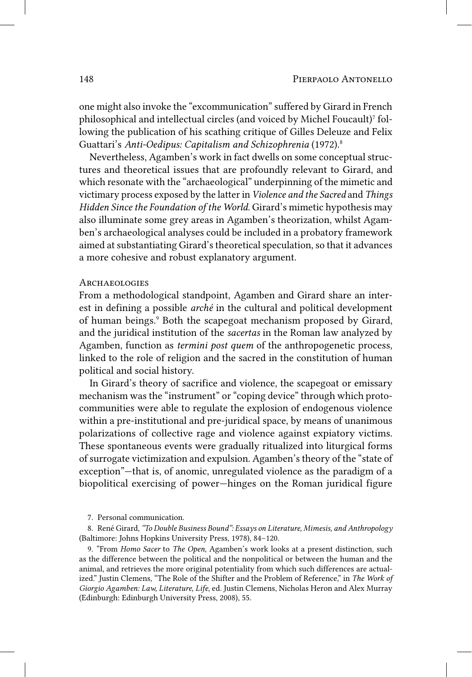one might also invoke the "excommunication" suffered by Girard in French philosophical and intellectual circles (and voiced by Michel Foucault)7 following the publication of his scathing critique of Gilles Deleuze and Felix Guattari's *Anti-Oedipus: Capitalism and Schizophrenia* (1972).8

Nevertheless, Agamben's work in fact dwells on some conceptual structures and theoretical issues that are profoundly relevant to Girard, and which resonate with the "archaeological" underpinning of the mimetic and victimary process exposed by the latter in *Violence and the Sacred* and *Things Hidden Since the Foundation of the World*. Girard's mimetic hypothesis may also illuminate some grey areas in Agamben's theorization, whilst Agamben's archaeological analyses could be included in a probatory framework aimed at substantiating Girard's theoretical speculation, so that it advances a more cohesive and robust explanatory argument.

## Archaeologies

From a methodological standpoint, Agamben and Girard share an interest in defining a possible *arché* in the cultural and political development of human beings.<sup>9</sup> Both the scapegoat mechanism proposed by Girard, and the juridical institution of the *sacertas* in the Roman law analyzed by Agamben, function as *termini post quem* of the anthropogenetic process, linked to the role of religion and the sacred in the constitution of human political and social history.

In Girard's theory of sacrifice and violence, the scapegoat or emissary mechanism was the "instrument" or "coping device" through which protocommunities were able to regulate the explosion of endogenous violence within a pre-institutional and pre-juridical space, by means of unanimous polarizations of collective rage and violence against expiatory victims. These spontaneous events were gradually ritualized into liturgical forms of surrogate victimization and expulsion. Agamben's theory of the "state of exception"—that is, of anomic, unregulated violence as the paradigm of a biopolitical exercising of power—hinges on the Roman juridical figure

7. Personal communication.

8. René Girard, *"To Double Business Bound": Essays on Literature, Mimesis, and Anthropology* (Baltimore: Johns Hopkins University Press, 1978), 84–120.

9. "From *Homo Sacer* to *The Open*, Agamben's work looks at a present distinction, such as the difference between the political and the nonpolitical or between the human and the animal, and retrieves the more original potentiality from which such differences are actualized." Justin Clemens, "The Role of the Shifter and the Problem of Reference," in *The Work of Giorgio Agamben: Law, Literature, Life*, ed. Justin Clemens, Nicholas Heron and Alex Murray (Edinburgh: Edinburgh University Press, 2008), 55.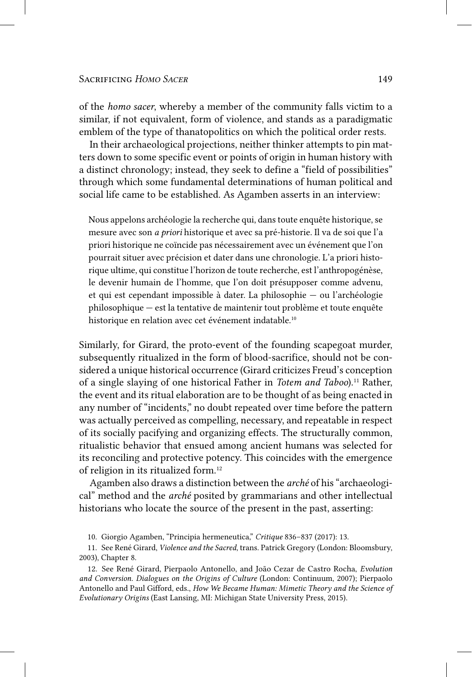of the *homo sacer*, whereby a member of the community falls victim to a similar, if not equivalent, form of violence, and stands as a paradigmatic emblem of the type of thanatopolitics on which the political order rests.

In their archaeological projections, neither thinker attempts to pin matters down to some specific event or points of origin in human history with a distinct chronology; instead, they seek to define a "field of possibilities" through which some fundamental determinations of human political and social life came to be established. As Agamben asserts in an interview:

Nous appelons archéologie la recherche qui, dans toute enquête historique, se mesure avec son *a priori* historique et avec sa pré-historie. Il va de soi que l'a priori historique ne coïncide pas nécessairement avec un événement que l'on pourrait situer avec précision et dater dans une chronologie. L'a priori historique ultime, qui constitue l'horizon de toute recherche, est l'anthropogénèse, le devenir humain de l'homme, que l'on doit présupposer comme advenu, et qui est cependant impossible à dater. La philosophie — ou l'archéologie philosophique — est la tentative de maintenir tout problème et toute enquête historique en relation avec cet événement indatable.<sup>10</sup>

Similarly, for Girard, the proto-event of the founding scapegoat murder, subsequently ritualized in the form of blood-sacrifice, should not be considered a unique historical occurrence (Girard criticizes Freud's conception of a single slaying of one historical Father in *Totem and Taboo*).<sup>11</sup> Rather, the event and its ritual elaboration are to be thought of as being enacted in any number of "incidents," no doubt repeated over time before the pattern was actually perceived as compelling, necessary, and repeatable in respect of its socially pacifying and organizing effects. The structurally common, ritualistic behavior that ensued among ancient humans was selected for its reconciling and protective potency. This coincides with the emergence of religion in its ritualized form.12

Agamben also draws a distinction between the *arché* of his "archaeological" method and the *arché* posited by grammarians and other intellectual historians who locate the source of the present in the past, asserting:

<sup>10.</sup> Giorgio Agamben, "Principia hermeneutica," *Critique* 836–837 (2017): 13.

<sup>11.</sup> See René Girard, *Violence and the Sacred*, trans. Patrick Gregory (London: Bloomsbury, 2003), Chapter 8.

<sup>12.</sup> See René Girard, Pierpaolo Antonello, and João Cezar de Castro Rocha, *Evolution and Conversion. Dialogues on the Origins of Culture* (London: Continuum, 2007); Pierpaolo Antonello and Paul Gifford, eds., *How We Became Human: Mimetic Theory and the Science of Evolutionary Origins* (East Lansing, MI: Michigan State University Press, 2015).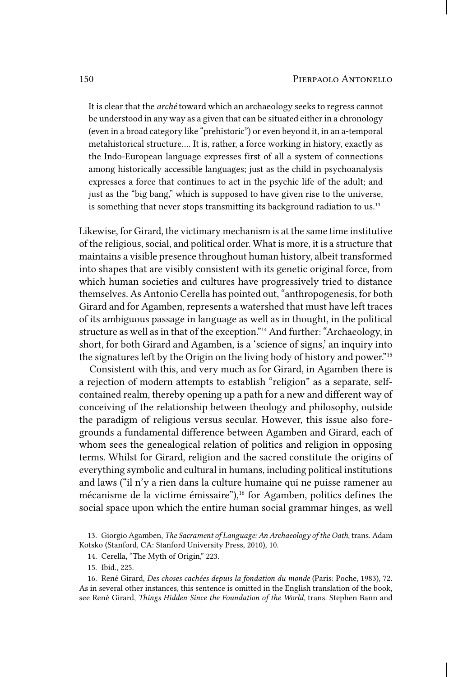It is clear that the *arché* toward which an archaeology seeks to regress cannot be understood in any way as a given that can be situated either in a chronology (even in a broad category like "prehistoric") or even beyond it, in an a-temporal metahistorical structure…. It is, rather, a force working in history, exactly as the Indo-European language expresses first of all a system of connections among historically accessible languages; just as the child in psychoanalysis expresses a force that continues to act in the psychic life of the adult; and just as the "big bang," which is supposed to have given rise to the universe, is something that never stops transmitting its background radiation to us.<sup>13</sup>

Likewise, for Girard, the victimary mechanism is at the same time institutive of the religious, social, and political order. What is more, it is a structure that maintains a visible presence throughout human history, albeit transformed into shapes that are visibly consistent with its genetic original force, from which human societies and cultures have progressively tried to distance themselves. As Antonio Cerella has pointed out, "anthropogenesis, for both Girard and for Agamben, represents a watershed that must have left traces of its ambiguous passage in language as well as in thought, in the political structure as well as in that of the exception."14 And further: "Archaeology, in short, for both Girard and Agamben, is a 'science of signs,' an inquiry into the signatures left by the Origin on the living body of history and power."15

Consistent with this, and very much as for Girard, in Agamben there is a rejection of modern attempts to establish "religion" as a separate, selfcontained realm, thereby opening up a path for a new and different way of conceiving of the relationship between theology and philosophy, outside the paradigm of religious versus secular. However, this issue also foregrounds a fundamental difference between Agamben and Girard, each of whom sees the genealogical relation of politics and religion in opposing terms. Whilst for Girard, religion and the sacred constitute the origins of everything symbolic and cultural in humans, including political institutions and laws ("il n'y a rien dans la culture humaine qui ne puisse ramener au mécanisme de la victime émissaire"), $^{16}$  for Agamben, politics defines the social space upon which the entire human social grammar hinges, as well

14. Cerella, "The Myth of Origin," 223.

15. Ibid., 225.

16. René Girard, *Des choses cachées depuis la fondation du monde* (Paris: Poche, 1983), 72. As in several other instances, this sentence is omitted in the English translation of the book, see René Girard, *Things Hidden Since the Foundation of the World*, trans. Stephen Bann and

<sup>13.</sup> Giorgio Agamben, *The Sacrament of Language: An Archaeology of the Oath*, trans. Adam Kotsko (Stanford, CA: Stanford University Press, 2010), 10.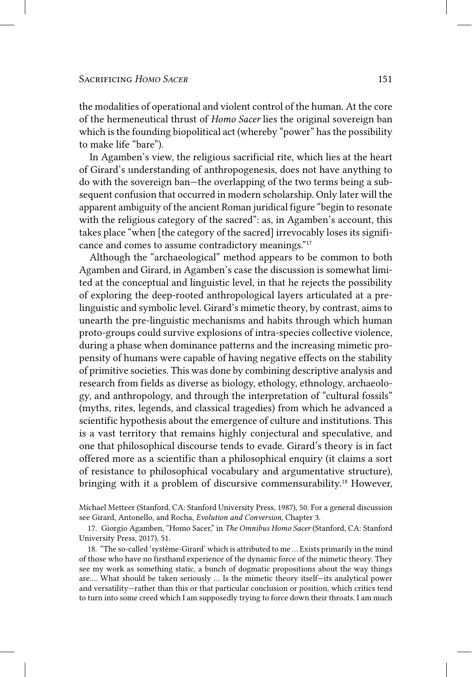the modalities of operational and violent control of the human. At the core of the hermeneutical thrust of *Homo Sacer* lies the original sovereign ban which is the founding biopolitical act (whereby "power" has the possibility to make life "bare").

In Agamben's view, the religious sacrificial rite, which lies at the heart of Girard's understanding of anthropogenesis, does not have anything to do with the sovereign ban—the overlapping of the two terms being a subsequent confusion that occurred in modern scholarship. Only later will the apparent ambiguity of the ancient Roman juridical figure "begin to resonate with the religious category of the sacred": as, in Agamben's account, this takes place "when [the category of the sacred] irrevocably loses its significance and comes to assume contradictory meanings."17

Although the "archaeological" method appears to be common to both Agamben and Girard, in Agamben's case the discussion is somewhat limited at the conceptual and linguistic level, in that he rejects the possibility of exploring the deep-rooted anthropological layers articulated at a prelinguistic and symbolic level. Girard's mimetic theory, by contrast, aims to unearth the pre-linguistic mechanisms and habits through which human proto-groups could survive explosions of intra-species collective violence, during a phase when dominance patterns and the increasing mimetic propensity of humans were capable of having negative effects on the stability of primitive societies. This was done by combining descriptive analysis and research from fields as diverse as biology, ethology, ethnology, archaeology, and anthropology, and through the interpretation of "cultural fossils" (myths, rites, legends, and classical tragedies) from which he advanced a scientific hypothesis about the emergence of culture and institutions. This is a vast territory that remains highly conjectural and speculative, and one that philosophical discourse tends to evade. Girard's theory is in fact offered more as a scientific than a philosophical enquiry (it claims a sort of resistance to philosophical vocabulary and argumentative structure), bringing with it a problem of discursive commensurability.<sup>18</sup> However,

Michael Metteer (Stanford, CA: Stanford University Press, 1987), 50. For a general discussion see Girard, Antonello, and Rocha, *Evolution and Conversion*, Chapter 3.

17. Giorgio Agamben, "Homo Sacer," in *The Omnibus Homo Sacer* (Stanford, CA: Stanford University Press, 2017), 51.

18. "The so-called 'système-Girard' which is attributed to me … Exists primarily in the mind of those who have no firsthand experience of the dynamic force of the mimetic theory. They see my work as something static, a bunch of dogmatic propositions about the way things are…. What should be taken seriously … Is the mimetic theory itself—its analytical power and versatility—rather than this or that particular conclusion or position, which critics tend to turn into some creed which I am supposedly trying to force down their throats. I am much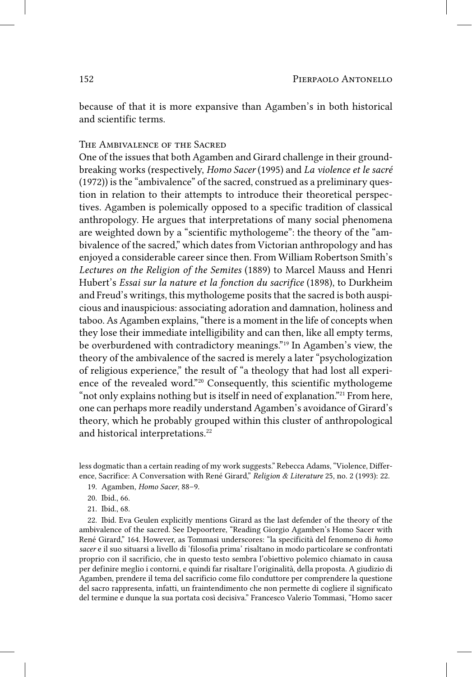because of that it is more expansive than Agamben's in both historical and scientific terms.

## The Ambivalence of the Sacred

One of the issues that both Agamben and Girard challenge in their groundbreaking works (respectively, *Homo Sacer* (1995) and *La violence et le sacré* (1972)) is the "ambivalence" of the sacred, construed as a preliminary question in relation to their attempts to introduce their theoretical perspectives. Agamben is polemically opposed to a specific tradition of classical anthropology. He argues that interpretations of many social phenomena are weighted down by a "scientific mythologeme": the theory of the "ambivalence of the sacred," which dates from Victorian anthropology and has enjoyed a considerable career since then. From William Robertson Smith's *Lectures on the Religion of the Semites* (1889) to Marcel Mauss and Henri Hubert's *Essai sur la nature et la fonction du sacrifice* (1898), to Durkheim and Freud's writings, this mythologeme posits that the sacred is both auspicious and inauspicious: associating adoration and damnation, holiness and taboo. As Agamben explains, "there is a moment in the life of concepts when they lose their immediate intelligibility and can then, like all empty terms, be overburdened with contradictory meanings."19 In Agamben's view, the theory of the ambivalence of the sacred is merely a later "psychologization of religious experience," the result of "a theology that had lost all experience of the revealed word."20 Consequently, this scientific mythologeme "not only explains nothing but is itself in need of explanation."21 From here, one can perhaps more readily understand Agamben's avoidance of Girard's theory, which he probably grouped within this cluster of anthropological and historical interpretations.<sup>22</sup>

less dogmatic than a certain reading of my work suggests." Rebecca Adams, "Violence, Difference, Sacrifice: A Conversation with René Girard," *Religion & Literature* 25, no. 2 (1993): 22.

- 19. Agamben, *Homo Sacer*, 88–9.
- 20. Ibid., 66.
- 21. Ibid., 68.

22. Ibid. Eva Geulen explicitly mentions Girard as the last defender of the theory of the ambivalence of the sacred. See Depoortere, "Reading Giorgio Agamben's Homo Sacer with René Girard," 164. However, as Tommasi underscores: "la specificità del fenomeno di *homo sacer* e il suo situarsi a livello di 'filosofia prima' risaltano in modo particolare se confrontati proprio con il sacrificio, che in questo testo sembra l'obiettivo polemico chiamato in causa per definire meglio i contorni, e quindi far risaltare l'originalità, della proposta. A giudizio di Agamben, prendere il tema del sacrificio come filo conduttore per comprendere la questione del sacro rappresenta, infatti, un fraintendimento che non permette di cogliere il significato del termine e dunque la sua portata così decisiva." Francesco Valerio Tommasi, "Homo sacer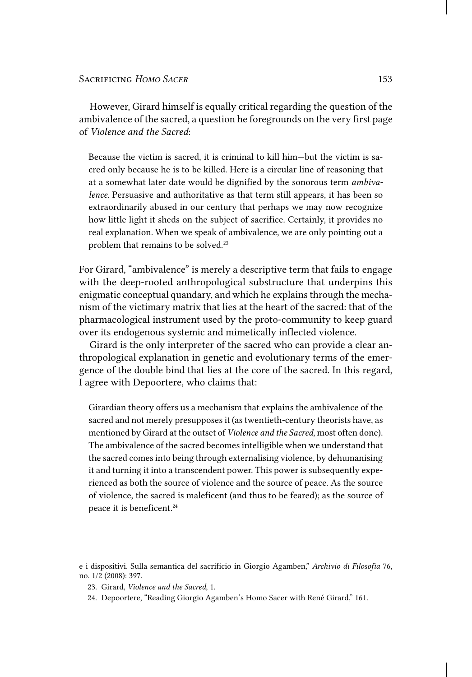However, Girard himself is equally critical regarding the question of the ambivalence of the sacred, a question he foregrounds on the very first page of *Violence and the Sacred*:

Because the victim is sacred, it is criminal to kill him—but the victim is sacred only because he is to be killed. Here is a circular line of reasoning that at a somewhat later date would be dignified by the sonorous term *ambivalence*. Persuasive and authoritative as that term still appears, it has been so extraordinarily abused in our century that perhaps we may now recognize how little light it sheds on the subject of sacrifice. Certainly, it provides no real explanation. When we speak of ambivalence, we are only pointing out a problem that remains to be solved.<sup>23</sup>

For Girard, "ambivalence" is merely a descriptive term that fails to engage with the deep-rooted anthropological substructure that underpins this enigmatic conceptual quandary, and which he explains through the mechanism of the victimary matrix that lies at the heart of the sacred: that of the pharmacological instrument used by the proto-community to keep guard over its endogenous systemic and mimetically inflected violence.

Girard is the only interpreter of the sacred who can provide a clear anthropological explanation in genetic and evolutionary terms of the emergence of the double bind that lies at the core of the sacred. In this regard, I agree with Depoortere, who claims that:

Girardian theory offers us a mechanism that explains the ambivalence of the sacred and not merely presupposes it (as twentieth-century theorists have, as mentioned by Girard at the outset of *Violence and the Sacred*, most often done). The ambivalence of the sacred becomes intelligible when we understand that the sacred comes into being through externalising violence, by dehumanising it and turning it into a transcendent power. This power is subsequently experienced as both the source of violence and the source of peace. As the source of violence, the sacred is maleficent (and thus to be feared); as the source of peace it is beneficent.<sup>24</sup>

- 23. Girard, *Violence and the Sacred*, 1.
- 24. Depoortere, "Reading Giorgio Agamben's Homo Sacer with René Girard," 161.

e i dispositivi. Sulla semantica del sacrificio in Giorgio Agamben," *Archivio di Filosofia* 76, no. 1/2 (2008): 397.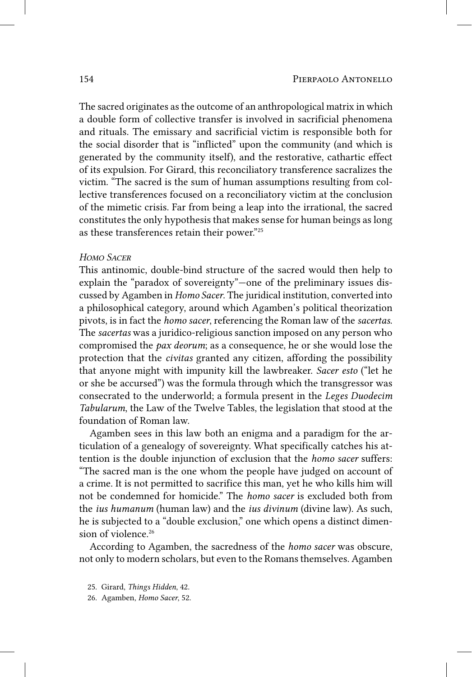The sacred originates as the outcome of an anthropological matrix in which a double form of collective transfer is involved in sacrificial phenomena and rituals. The emissary and sacrificial victim is responsible both for the social disorder that is "inflicted" upon the community (and which is generated by the community itself), and the restorative, cathartic effect of its expulsion. For Girard, this reconciliatory transference sacralizes the victim. "The sacred is the sum of human assumptions resulting from collective transferences focused on a reconciliatory victim at the conclusion of the mimetic crisis. Far from being a leap into the irrational, the sacred constitutes the only hypothesis that makes sense for human beings as long as these transferences retain their power."25

## *Homo Sacer*

This antinomic, double-bind structure of the sacred would then help to explain the "paradox of sovereignty"—one of the preliminary issues discussed by Agamben in *Homo Sacer*. The juridical institution, converted into a philosophical category, around which Agamben's political theorization pivots, is in fact the *homo sacer*, referencing the Roman law of the *sacertas*. The *sacertas* was a juridico-religious sanction imposed on any person who compromised the *pax deorum*; as a consequence, he or she would lose the protection that the *civitas* granted any citizen, affording the possibility that anyone might with impunity kill the lawbreaker. *Sacer esto* ("let he or she be accursed") was the formula through which the transgressor was consecrated to the underworld; a formula present in the *Leges Duodecim Tabularum*, the Law of the Twelve Tables, the legislation that stood at the foundation of Roman law.

Agamben sees in this law both an enigma and a paradigm for the articulation of a genealogy of sovereignty. What specifically catches his attention is the double injunction of exclusion that the *homo sacer* suffers: "The sacred man is the one whom the people have judged on account of a crime. It is not permitted to sacrifice this man, yet he who kills him will not be condemned for homicide." The *homo sacer* is excluded both from the *ius humanum* (human law) and the *ius divinum* (divine law). As such, he is subjected to a "double exclusion," one which opens a distinct dimension of violence.<sup>26</sup>

According to Agamben, the sacredness of the *homo sacer* was obscure, not only to modern scholars, but even to the Romans themselves. Agamben

- 25. Girard, *Things Hidden*, 42.
- 26. Agamben, *Homo Sacer*, 52.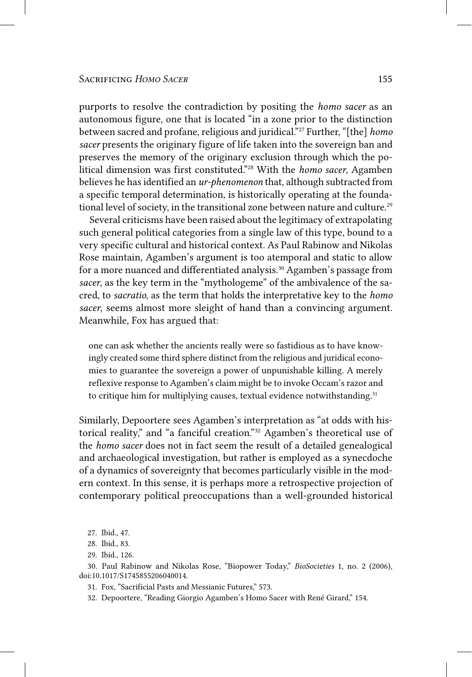purports to resolve the contradiction by positing the *homo sacer* as an autonomous figure, one that is located "in a zone prior to the distinction between sacred and profane, religious and juridical."27 Further, "[the] *homo sacer* presents the originary figure of life taken into the sovereign ban and preserves the memory of the originary exclusion through which the political dimension was first constituted."28 With the *homo sacer*, Agamben believes he has identified an *ur-phenomenon* that, although subtracted from a specific temporal determination, is historically operating at the foundational level of society, in the transitional zone between nature and culture.<sup>29</sup>

Several criticisms have been raised about the legitimacy of extrapolating such general political categories from a single law of this type, bound to a very specific cultural and historical context. As Paul Rabinow and Nikolas Rose maintain, Agamben's argument is too atemporal and static to allow for a more nuanced and differentiated analysis.<sup>30</sup> Agamben's passage from *sacer*, as the key term in the "mythologeme" of the ambivalence of the sacred, to *sacratio*, as the term that holds the interpretative key to the *homo sacer*, seems almost more sleight of hand than a convincing argument. Meanwhile, Fox has argued that:

one can ask whether the ancients really were so fastidious as to have knowingly created some third sphere distinct from the religious and juridical economies to guarantee the sovereign a power of unpunishable killing. A merely reflexive response to Agamben's claim might be to invoke Occam's razor and to critique him for multiplying causes, textual evidence notwithstanding.<sup>31</sup>

Similarly, Depoortere sees Agamben's interpretation as "at odds with historical reality," and "a fanciful creation."32 Agamben's theoretical use of the *homo sacer* does not in fact seem the result of a detailed genealogical and archaeological investigation, but rather is employed as a synecdoche of a dynamics of sovereignty that becomes particularly visible in the modern context. In this sense, it is perhaps more a retrospective projection of contemporary political preoccupations than a well-grounded historical

- 30. Paul Rabinow and Nikolas Rose, "Biopower Today," *BioSocieties* 1, no. 2 (2006), doi:10.1017/S1745855206040014.
	- 31. Fox, "Sacrificial Pasts and Messianic Futures," 573.
	- 32. Depoortere, "Reading Giorgio Agamben's Homo Sacer with René Girard," 154.

<sup>27.</sup> Ibid., 47.

<sup>28.</sup> Ibid., 83.

<sup>29.</sup> Ibid., 126.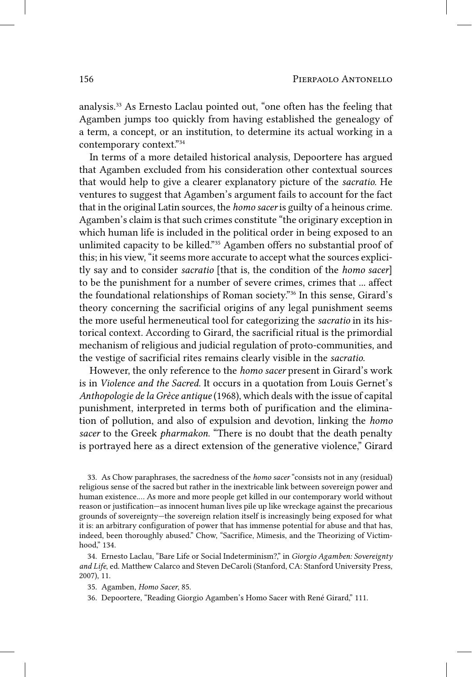analysis.33 As Ernesto Laclau pointed out, "one often has the feeling that Agamben jumps too quickly from having established the genealogy of a term, a concept, or an institution, to determine its actual working in a contemporary context."34

In terms of a more detailed historical analysis, Depoortere has argued that Agamben excluded from his consideration other contextual sources that would help to give a clearer explanatory picture of the *sacratio*. He ventures to suggest that Agamben's argument fails to account for the fact that in the original Latin sources, the *homo sacer* is guilty of a heinous crime. Agamben's claim is that such crimes constitute "the originary exception in which human life is included in the political order in being exposed to an unlimited capacity to be killed."35 Agamben offers no substantial proof of this; in his view, "it seems more accurate to accept what the sources explicitly say and to consider *sacratio* [that is, the condition of the *homo sacer*] to be the punishment for a number of severe crimes, crimes that ... affect the foundational relationships of Roman society."36 In this sense, Girard's theory concerning the sacrificial origins of any legal punishment seems the more useful hermeneutical tool for categorizing the *sacratio* in its historical context. According to Girard, the sacrificial ritual is the primordial mechanism of religious and judicial regulation of proto-communities, and the vestige of sacrificial rites remains clearly visible in the *sacratio*.

However, the only reference to the *homo sacer* present in Girard's work is in *Violence and the Sacred*. It occurs in a quotation from Louis Gernet's *Anthopologie de la Grèce antique* (1968), which deals with the issue of capital punishment, interpreted in terms both of purification and the elimination of pollution, and also of expulsion and devotion, linking the *homo sacer* to the Greek *pharmakon*. "There is no doubt that the death penalty is portrayed here as a direct extension of the generative violence," Girard

33. As Chow paraphrases, the sacredness of the *homo sacer* "consists not in any (residual) religious sense of the sacred but rather in the inextricable link between sovereign power and human existence.… As more and more people get killed in our contemporary world without reason or justification—as innocent human lives pile up like wreckage against the precarious grounds of sovereignty—the sovereign relation itself is increasingly being exposed for what it is: an arbitrary configuration of power that has immense potential for abuse and that has, indeed, been thoroughly abused." Chow, "Sacrifice, Mimesis, and the Theorizing of Victimhood," 134.

34. Ernesto Laclau, "Bare Life or Social Indeterminism?," in *Giorgio Agamben: Sovereignty and Life*, ed. Matthew Calarco and Steven DeCaroli (Stanford, CA: Stanford University Press, 2007), 11.

35. Agamben, *Homo Sacer*, 85.

36. Depoortere, "Reading Giorgio Agamben's Homo Sacer with René Girard," 111.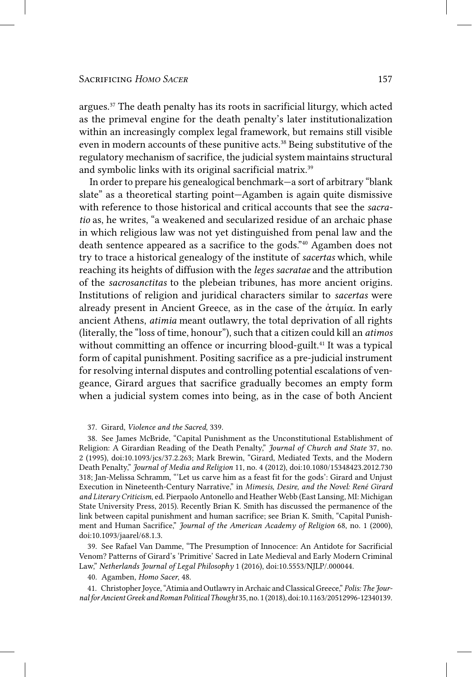argues.37 The death penalty has its roots in sacrificial liturgy, which acted as the primeval engine for the death penalty's later institutionalization within an increasingly complex legal framework, but remains still visible even in modern accounts of these punitive acts.<sup>38</sup> Being substitutive of the regulatory mechanism of sacrifice, the judicial system maintains structural and symbolic links with its original sacrificial matrix.<sup>39</sup>

In order to prepare his genealogical benchmark—a sort of arbitrary "blank slate" as a theoretical starting point—Agamben is again quite dismissive with reference to those historical and critical accounts that see the *sacratio* as, he writes, "a weakened and secularized residue of an archaic phase in which religious law was not yet distinguished from penal law and the death sentence appeared as a sacrifice to the gods."40 Agamben does not try to trace a historical genealogy of the institute of *sacertas* which, while reaching its heights of diffusion with the *leges sacratae* and the attribution of the *sacrosanctitas* to the plebeian tribunes, has more ancient origins. Institutions of religion and juridical characters similar to *sacertas* were already present in Ancient Greece, as in the case of the ἀτιμία. In early ancient Athens, *atimia* meant outlawry, the total deprivation of all rights (literally, the "loss of time, honour"), such that a citizen could kill an *atimos* without committing an offence or incurring blood-guilt.<sup>41</sup> It was a typical form of capital punishment. Positing sacrifice as a pre-judicial instrument for resolving internal disputes and controlling potential escalations of vengeance, Girard argues that sacrifice gradually becomes an empty form when a judicial system comes into being, as in the case of both Ancient

#### 37. Girard, *Violence and the Sacred*, 339.

38. See James McBride, "Capital Punishment as the Unconstitutional Establishment of Religion: A Girardian Reading of the Death Penalty," *Journal of Church and State* 37, no. 2 (1995), doi:10.1093/jcs/37.2.263; Mark Brewin, "Girard, Mediated Texts, and the Modern Death Penalty," *Journal of Media and Religion* 11, no. 4 (2012), doi:10.1080/15348423.2012.730 318; Jan-Melissa Schramm, "'Let us carve him as a feast fit for the gods': Girard and Unjust Execution in Nineteenth-Century Narrative," in *Mimesis, Desire, and the Novel: René Girard and Literary Criticism*, ed. Pierpaolo Antonello and Heather Webb (East Lansing, MI: Michigan State University Press, 2015). Recently Brian K. Smith has discussed the permanence of the link between capital punishment and human sacrifice; see Brian K. Smith, "Capital Punishment and Human Sacrifice," *Journal of the American Academy of Religion* 68, no. 1 (2000), doi:10.1093/jaarel/68.1.3.

39. See Rafael Van Damme, "The Presumption of Innocence: An Antidote for Sacrificial Venom? Patterns of Girard's 'Primitive' Sacred in Late Medieval and Early Modern Criminal Law," *Netherlands Journal of Legal Philosophy* 1 (2016), doi:10.5553/NJLP/.000044.

40. Agamben, *Homo Sacer*, 48.

41. Christopher Joyce, "Atimia and Outlawry in Archaic and Classical Greece," *Polis: The Journal for Ancient Greek and Roman Political Thought* 35, no. 1 (2018), doi:10.1163/20512996-12340139.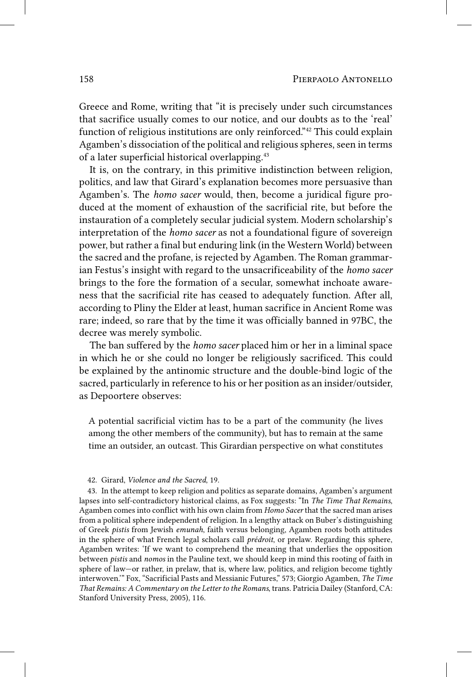Greece and Rome, writing that "it is precisely under such circumstances that sacrifice usually comes to our notice, and our doubts as to the 'real' function of religious institutions are only reinforced."42 This could explain Agamben's dissociation of the political and religious spheres, seen in terms of a later superficial historical overlapping.43

It is, on the contrary, in this primitive indistinction between religion, politics, and law that Girard's explanation becomes more persuasive than Agamben's. The *homo sacer* would, then, become a juridical figure produced at the moment of exhaustion of the sacrificial rite, but before the instauration of a completely secular judicial system. Modern scholarship's interpretation of the *homo sacer* as not a foundational figure of sovereign power, but rather a final but enduring link (in the Western World) between the sacred and the profane, is rejected by Agamben. The Roman grammarian Festus's insight with regard to the unsacrificeability of the *homo sacer* brings to the fore the formation of a secular, somewhat inchoate awareness that the sacrificial rite has ceased to adequately function. After all, according to Pliny the Elder at least, human sacrifice in Ancient Rome was rare; indeed, so rare that by the time it was officially banned in 97BC, the decree was merely symbolic.

The ban suffered by the *homo sacer* placed him or her in a liminal space in which he or she could no longer be religiously sacrificed. This could be explained by the antinomic structure and the double-bind logic of the sacred, particularly in reference to his or her position as an insider/outsider, as Depoortere observes:

A potential sacrificial victim has to be a part of the community (he lives among the other members of the community), but has to remain at the same time an outsider, an outcast. This Girardian perspective on what constitutes

<sup>42.</sup> Girard, *Violence and the Sacred*, 19.

<sup>43.</sup> In the attempt to keep religion and politics as separate domains, Agamben's argument lapses into self-contradictory historical claims, as Fox suggests: "In *The Time That Remains*, Agamben comes into conflict with his own claim from *Homo Sacer* that the sacred man arises from a political sphere independent of religion. In a lengthy attack on Buber's distinguishing of Greek *pistis* from Jewish *emunah*, faith versus belonging, Agamben roots both attitudes in the sphere of what French legal scholars call *prédroit*, or prelaw. Regarding this sphere, Agamben writes: 'If we want to comprehend the meaning that underlies the opposition between *pistis* and *nomos* in the Pauline text, we should keep in mind this rooting of faith in sphere of law—or rather, in prelaw, that is, where law, politics, and religion become tightly interwoven.'" Fox, "Sacrificial Pasts and Messianic Futures," 573; Giorgio Agamben, *The Time That Remains: A Commentary on the Letter to the Romans*, trans. Patricia Dailey (Stanford, CA: Stanford University Press, 2005), 116.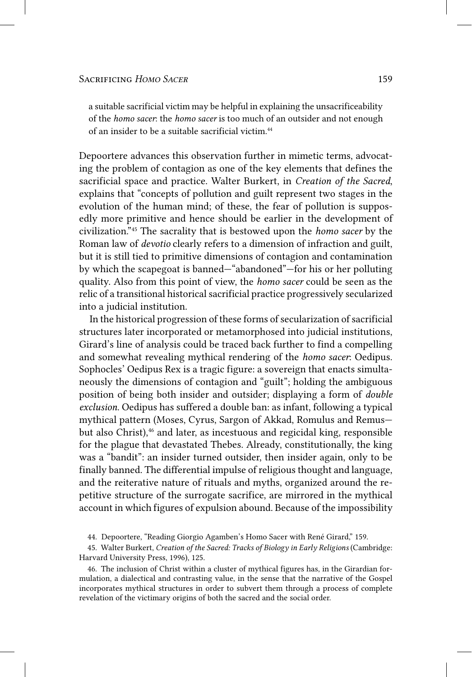a suitable sacrificial victim may be helpful in explaining the unsacrificeability of the *homo sacer*: the *homo sacer* is too much of an outsider and not enough of an insider to be a suitable sacrificial victim.44

Depoortere advances this observation further in mimetic terms, advocating the problem of contagion as one of the key elements that defines the sacrificial space and practice. Walter Burkert, in *Creation of the Sacred*, explains that "concepts of pollution and guilt represent two stages in the evolution of the human mind; of these, the fear of pollution is supposedly more primitive and hence should be earlier in the development of civilization."45 The sacrality that is bestowed upon the *homo sacer* by the Roman law of *devotio* clearly refers to a dimension of infraction and guilt, but it is still tied to primitive dimensions of contagion and contamination by which the scapegoat is banned—"abandoned"—for his or her polluting quality. Also from this point of view, the *homo sacer* could be seen as the relic of a transitional historical sacrificial practice progressively secularized into a judicial institution.

In the historical progression of these forms of secularization of sacrificial structures later incorporated or metamorphosed into judicial institutions, Girard's line of analysis could be traced back further to find a compelling and somewhat revealing mythical rendering of the *homo sacer*: Oedipus. Sophocles' Oedipus Rex is a tragic figure: a sovereign that enacts simultaneously the dimensions of contagion and "guilt"; holding the ambiguous position of being both insider and outsider; displaying a form of *double exclusion*. Oedipus has suffered a double ban: as infant, following a typical mythical pattern (Moses, Cyrus, Sargon of Akkad, Romulus and Remus but also Christ),<sup>46</sup> and later, as incestuous and regicidal king, responsible for the plague that devastated Thebes. Already, constitutionally, the king was a "bandit": an insider turned outsider, then insider again, only to be finally banned. The differential impulse of religious thought and language, and the reiterative nature of rituals and myths, organized around the repetitive structure of the surrogate sacrifice, are mirrored in the mythical account in which figures of expulsion abound. Because of the impossibility

<sup>44.</sup> Depoortere, "Reading Giorgio Agamben's Homo Sacer with René Girard," 159.

<sup>45.</sup> Walter Burkert, *Creation of the Sacred: Tracks of Biology in Early Religions* (Cambridge: Harvard University Press, 1996), 125.

<sup>46.</sup> The inclusion of Christ within a cluster of mythical figures has, in the Girardian formulation, a dialectical and contrasting value, in the sense that the narrative of the Gospel incorporates mythical structures in order to subvert them through a process of complete revelation of the victimary origins of both the sacred and the social order.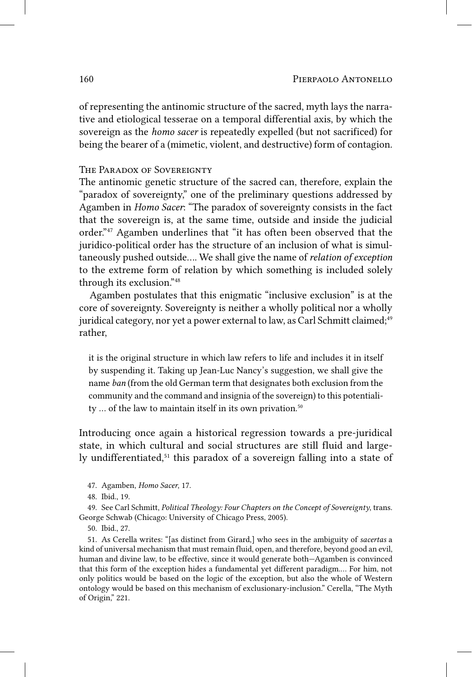of representing the antinomic structure of the sacred, myth lays the narrative and etiological tesserae on a temporal differential axis, by which the sovereign as the *homo sacer* is repeatedly expelled (but not sacrificed) for being the bearer of a (mimetic, violent, and destructive) form of contagion.

## THE PARADOX OF SOVEREIGNTY

The antinomic genetic structure of the sacred can, therefore, explain the "paradox of sovereignty," one of the preliminary questions addressed by Agamben in *Homo Sacer*: "The paradox of sovereignty consists in the fact that the sovereign is, at the same time, outside and inside the judicial order."47 Agamben underlines that "it has often been observed that the juridico-political order has the structure of an inclusion of what is simultaneously pushed outside…. We shall give the name of *relation of exception* to the extreme form of relation by which something is included solely through its exclusion."48

Agamben postulates that this enigmatic "inclusive exclusion" is at the core of sovereignty. Sovereignty is neither a wholly political nor a wholly juridical category, nor yet a power external to law, as Carl Schmitt claimed;<sup>49</sup> rather,

it is the original structure in which law refers to life and includes it in itself by suspending it. Taking up Jean-Luc Nancy's suggestion, we shall give the name *ban* (from the old German term that designates both exclusion from the community and the command and insignia of the sovereign) to this potentiality ... of the law to maintain itself in its own privation.<sup>50</sup>

Introducing once again a historical regression towards a pre-juridical state, in which cultural and social structures are still fluid and largely undifferentiated,<sup>51</sup> this paradox of a sovereign falling into a state of

<sup>47.</sup> Agamben, *Homo Sacer*, 17.

<sup>48.</sup> Ibid., 19.

<sup>49.</sup> See Carl Schmitt, *Political Theology: Four Chapters on the Concept of Sovereignty*, trans. George Schwab (Chicago: University of Chicago Press, 2005).

<sup>50.</sup> Ibid., 27.

<sup>51.</sup> As Cerella writes: "[as distinct from Girard,] who sees in the ambiguity of *sacertas* a kind of universal mechanism that must remain fluid, open, and therefore, beyond good an evil, human and divine law, to be effective, since it would generate both—Agamben is convinced that this form of the exception hides a fundamental yet different paradigm.… For him, not only politics would be based on the logic of the exception, but also the whole of Western ontology would be based on this mechanism of exclusionary-inclusion." Cerella, "The Myth of Origin," 221.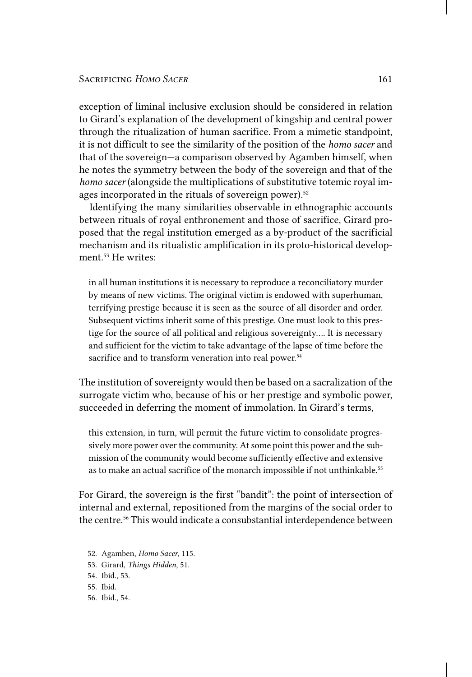exception of liminal inclusive exclusion should be considered in relation to Girard's explanation of the development of kingship and central power through the ritualization of human sacrifice. From a mimetic standpoint, it is not difficult to see the similarity of the position of the *homo sacer* and that of the sovereign—a comparison observed by Agamben himself, when he notes the symmetry between the body of the sovereign and that of the *homo sacer* (alongside the multiplications of substitutive totemic royal images incorporated in the rituals of sovereign power).<sup>52</sup>

Identifying the many similarities observable in ethnographic accounts between rituals of royal enthronement and those of sacrifice, Girard proposed that the regal institution emerged as a by-product of the sacrificial mechanism and its ritualistic amplification in its proto-historical development.53 He writes:

in all human institutions it is necessary to reproduce a reconciliatory murder by means of new victims. The original victim is endowed with superhuman, terrifying prestige because it is seen as the source of all disorder and order. Subsequent victims inherit some of this prestige. One must look to this prestige for the source of all political and religious sovereignty…. It is necessary and sufficient for the victim to take advantage of the lapse of time before the sacrifice and to transform veneration into real power.<sup>54</sup>

The institution of sovereignty would then be based on a sacralization of the surrogate victim who, because of his or her prestige and symbolic power, succeeded in deferring the moment of immolation. In Girard's terms,

this extension, in turn, will permit the future victim to consolidate progressively more power over the community. At some point this power and the submission of the community would become sufficiently effective and extensive as to make an actual sacrifice of the monarch impossible if not unthinkable.<sup>55</sup>

For Girard, the sovereign is the first "bandit": the point of intersection of internal and external, repositioned from the margins of the social order to the centre.<sup>56</sup> This would indicate a consubstantial interdependence between

- 52. Agamben, *Homo Sacer*, 115.
- 53. Girard, *Things Hidden*, 51.
- 54. Ibid., 53.

55. Ibid.

56. Ibid., 54.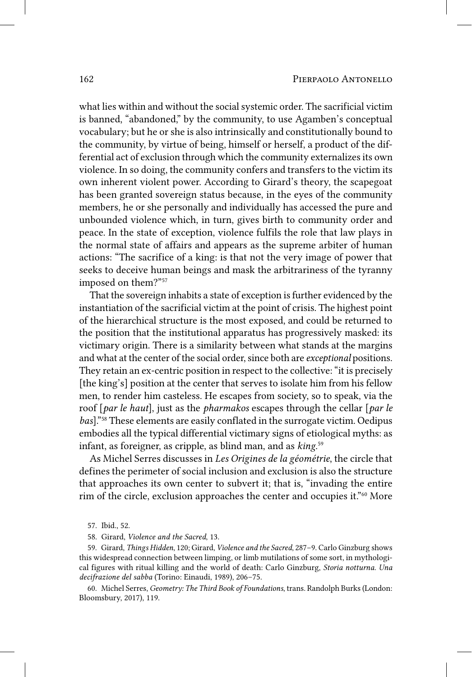what lies within and without the social systemic order. The sacrificial victim is banned, "abandoned," by the community, to use Agamben's conceptual vocabulary; but he or she is also intrinsically and constitutionally bound to the community, by virtue of being, himself or herself, a product of the differential act of exclusion through which the community externalizes its own violence. In so doing, the community confers and transfers to the victim its own inherent violent power. According to Girard's theory, the scapegoat has been granted sovereign status because, in the eyes of the community members, he or she personally and individually has accessed the pure and unbounded violence which, in turn, gives birth to community order and peace. In the state of exception, violence fulfils the role that law plays in the normal state of affairs and appears as the supreme arbiter of human actions: "The sacrifice of a king: is that not the very image of power that seeks to deceive human beings and mask the arbitrariness of the tyranny imposed on them?"57

That the sovereign inhabits a state of exception is further evidenced by the instantiation of the sacrificial victim at the point of crisis. The highest point of the hierarchical structure is the most exposed, and could be returned to the position that the institutional apparatus has progressively masked: its victimary origin. There is a similarity between what stands at the margins and what at the center of the social order, since both are *exceptional* positions. They retain an ex-centric position in respect to the collective: "it is precisely [the king's] position at the center that serves to isolate him from his fellow men, to render him casteless. He escapes from society, so to speak, via the roof [*par le haut*], just as the *pharmakos* escapes through the cellar [*par le bas*]."58 These elements are easily conflated in the surrogate victim. Oedipus embodies all the typical differential victimary signs of etiological myths: as infant, as foreigner, as cripple, as blind man, and as *king*. 59

As Michel Serres discusses in *Les Origines de la géométrie*, the circle that defines the perimeter of social inclusion and exclusion is also the structure that approaches its own center to subvert it; that is, "invading the entire rim of the circle, exclusion approaches the center and occupies it."<sup>60</sup> More

59. Girard, *Things Hidden*, 120; Girard, *Violence and the Sacred*, 287–9. Carlo Ginzburg shows this widespread connection between limping, or limb mutilations of some sort, in mythological figures with ritual killing and the world of death: Carlo Ginzburg, *Storia notturna. Una decifrazione del sabba* (Torino: Einaudi, 1989), 206–75.

60. Michel Serres, *Geometry: The Third Book of Foundations*, trans. Randolph Burks (London: Bloomsbury, 2017), 119.

<sup>57.</sup> Ibid., 52.

<sup>58.</sup> Girard, *Violence and the Sacred*, 13.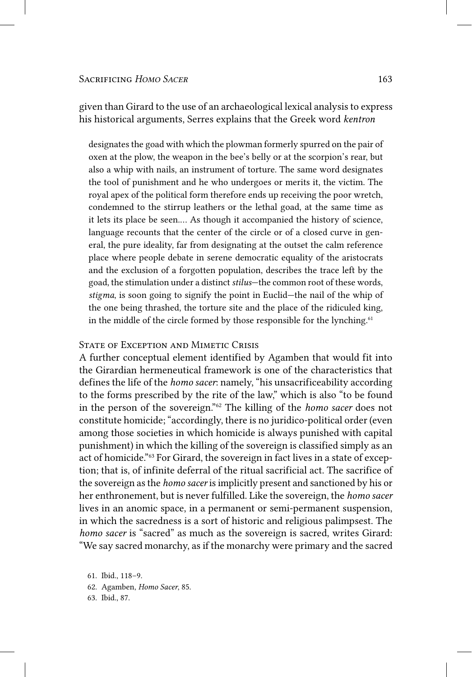given than Girard to the use of an archaeological lexical analysis to express his historical arguments, Serres explains that the Greek word *kentron*

designates the goad with which the plowman formerly spurred on the pair of oxen at the plow, the weapon in the bee's belly or at the scorpion's rear, but also a whip with nails, an instrument of torture. The same word designates the tool of punishment and he who undergoes or merits it, the victim. The royal apex of the political form therefore ends up receiving the poor wretch, condemned to the stirrup leathers or the lethal goad, at the same time as it lets its place be seen.… As though it accompanied the history of science, language recounts that the center of the circle or of a closed curve in general, the pure ideality, far from designating at the outset the calm reference place where people debate in serene democratic equality of the aristocrats and the exclusion of a forgotten population, describes the trace left by the goad, the stimulation under a distinct *stilus*—the common root of these words, *stigma*, is soon going to signify the point in Euclid—the nail of the whip of the one being thrashed, the torture site and the place of the ridiculed king, in the middle of the circle formed by those responsible for the lynching.<sup>61</sup>

## STATE OF EXCEPTION AND MIMETIC CRISIS

A further conceptual element identified by Agamben that would fit into the Girardian hermeneutical framework is one of the characteristics that defines the life of the *homo sacer*: namely, "his unsacrificeability according to the forms prescribed by the rite of the law," which is also "to be found in the person of the sovereign."62 The killing of the *homo sacer* does not constitute homicide; "accordingly, there is no juridico-political order (even among those societies in which homicide is always punished with capital punishment) in which the killing of the sovereign is classified simply as an act of homicide."63 For Girard, the sovereign in fact lives in a state of exception; that is, of infinite deferral of the ritual sacrificial act. The sacrifice of the sovereign as the *homo sacer* is implicitly present and sanctioned by his or her enthronement, but is never fulfilled. Like the sovereign, the *homo sacer* lives in an anomic space, in a permanent or semi-permanent suspension, in which the sacredness is a sort of historic and religious palimpsest. The *homo sacer* is "sacred" as much as the sovereign is sacred, writes Girard: "We say sacred monarchy, as if the monarchy were primary and the sacred

63. Ibid., 87.

<sup>61.</sup> Ibid., 118–9.

<sup>62.</sup> Agamben, *Homo Sacer*, 85.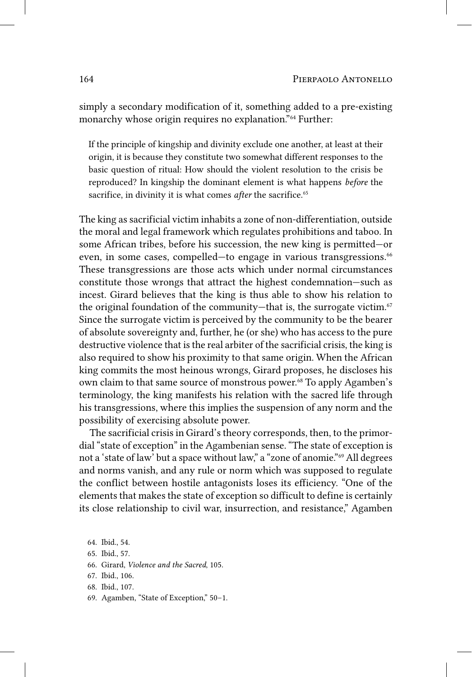simply a secondary modification of it, something added to a pre-existing monarchy whose origin requires no explanation."64 Further:

If the principle of kingship and divinity exclude one another, at least at their origin, it is because they constitute two somewhat different responses to the basic question of ritual: How should the violent resolution to the crisis be reproduced? In kingship the dominant element is what happens *before* the sacrifice, in divinity it is what comes *after* the sacrifice.<sup>65</sup>

The king as sacrificial victim inhabits a zone of non-differentiation, outside the moral and legal framework which regulates prohibitions and taboo. In some African tribes, before his succession, the new king is permitted—or even, in some cases, compelled—to engage in various transgressions.<sup>66</sup> These transgressions are those acts which under normal circumstances constitute those wrongs that attract the highest condemnation—such as incest. Girard believes that the king is thus able to show his relation to the original foundation of the community—that is, the surrogate victim. $67$ Since the surrogate victim is perceived by the community to be the bearer of absolute sovereignty and, further, he (or she) who has access to the pure destructive violence that is the real arbiter of the sacrificial crisis, the king is also required to show his proximity to that same origin. When the African king commits the most heinous wrongs, Girard proposes, he discloses his own claim to that same source of monstrous power.<sup>68</sup> To apply Agamben's terminology, the king manifests his relation with the sacred life through his transgressions, where this implies the suspension of any norm and the possibility of exercising absolute power.

The sacrificial crisis in Girard's theory corresponds, then, to the primordial "state of exception" in the Agambenian sense. "The state of exception is not a 'state of law' but a space without law," a "zone of anomie."69 All degrees and norms vanish, and any rule or norm which was supposed to regulate the conflict between hostile antagonists loses its efficiency. "One of the elements that makes the state of exception so difficult to define is certainly its close relationship to civil war, insurrection, and resistance," Agamben

69. Agamben, "State of Exception," 50–1.

<sup>64.</sup> Ibid., 54.

<sup>65.</sup> Ibid., 57.

<sup>66.</sup> Girard, *Violence and the Sacred*, 105.

<sup>67.</sup> Ibid., 106.

<sup>68.</sup> Ibid., 107.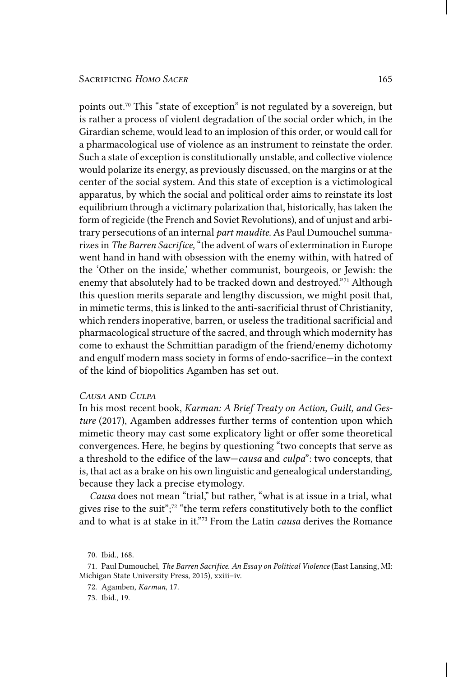points out.70 This "state of exception" is not regulated by a sovereign, but is rather a process of violent degradation of the social order which, in the Girardian scheme, would lead to an implosion of this order, or would call for a pharmacological use of violence as an instrument to reinstate the order. Such a state of exception is constitutionally unstable, and collective violence would polarize its energy, as previously discussed, on the margins or at the center of the social system. And this state of exception is a victimological apparatus, by which the social and political order aims to reinstate its lost equilibrium through a victimary polarization that, historically, has taken the form of regicide (the French and Soviet Revolutions), and of unjust and arbitrary persecutions of an internal *part maudite*. As Paul Dumouchel summarizes in *The Barren Sacrifice*, "the advent of wars of extermination in Europe went hand in hand with obsession with the enemy within, with hatred of the 'Other on the inside,' whether communist, bourgeois, or Jewish: the enemy that absolutely had to be tracked down and destroyed."71 Although this question merits separate and lengthy discussion, we might posit that, in mimetic terms, this is linked to the anti-sacrificial thrust of Christianity, which renders inoperative, barren, or useless the traditional sacrificial and pharmacological structure of the sacred, and through which modernity has come to exhaust the Schmittian paradigm of the friend/enemy dichotomy and engulf modern mass society in forms of endo-sacrifice—in the context of the kind of biopolitics Agamben has set out.

## *Causa* and *Culpa*

In his most recent book, *Karman: A Brief Treaty on Action, Guilt, and Gesture* (2017), Agamben addresses further terms of contention upon which mimetic theory may cast some explicatory light or offer some theoretical convergences. Here, he begins by questioning "two concepts that serve as a threshold to the edifice of the law—*causa* and *culpa*": two concepts, that is, that act as a brake on his own linguistic and genealogical understanding, because they lack a precise etymology.

*Causa* does not mean "trial," but rather, "what is at issue in a trial, what gives rise to the suit";72 "the term refers constitutively both to the conflict and to what is at stake in it."73 From the Latin *causa* derives the Romance

73. Ibid., 19.

<sup>70.</sup> Ibid., 168.

<sup>71.</sup> Paul Dumouchel, *The Barren Sacrifice. An Essay on Political Violence* (East Lansing, MI: Michigan State University Press, 2015), xxiii–iv.

<sup>72.</sup> Agamben, *Karman*, 17.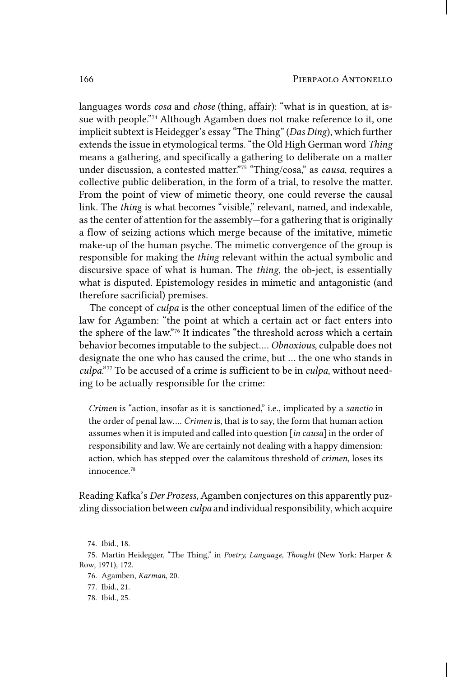languages words *cosa* and *chose* (thing, affair): "what is in question, at issue with people."74 Although Agamben does not make reference to it, one implicit subtext is Heidegger's essay "The Thing" (*Das Ding*), which further extends the issue in etymological terms. "the Old High German word *Thing* means a gathering, and specifically a gathering to deliberate on a matter under discussion, a contested matter."75 "Thing/cosa," as *causa*, requires a collective public deliberation, in the form of a trial, to resolve the matter. From the point of view of mimetic theory, one could reverse the causal link. The *thing* is what becomes "visible," relevant, named, and indexable, as the center of attention for the assembly—for a gathering that is originally a flow of seizing actions which merge because of the imitative, mimetic make-up of the human psyche. The mimetic convergence of the group is responsible for making the *thing* relevant within the actual symbolic and discursive space of what is human. The *thing*, the ob-ject, is essentially what is disputed. Epistemology resides in mimetic and antagonistic (and therefore sacrificial) premises.

The concept of *culpa* is the other conceptual limen of the edifice of the law for Agamben: "the point at which a certain act or fact enters into the sphere of the law."76 It indicates "the threshold across which a certain behavior becomes imputable to the subject.… *Obnoxious*, culpable does not designate the one who has caused the crime, but … the one who stands in *culpa*."77 To be accused of a crime is sufficient to be in *culpa*, without needing to be actually responsible for the crime:

*Crimen* is "action, insofar as it is sanctioned," i.e., implicated by a *sanctio* in the order of penal law…. *Crimen* is, that is to say, the form that human action assumes when it is imputed and called into question [*in causa*] in the order of responsibility and law. We are certainly not dealing with a happy dimension: action, which has stepped over the calamitous threshold of *crimen*, loses its innocence.78

Reading Kafka's *Der Prozess*, Agamben conjectures on this apparently puzzling dissociation between *culpa* and individual responsibility, which acquire

<sup>74.</sup> Ibid., 18.

<sup>75.</sup> Martin Heidegger, "The Thing," in *Poetry, Language, Thought* (New York: Harper & Row, 1971), 172.

<sup>76.</sup> Agamben, *Karman*, 20.

<sup>77.</sup> Ibid., 21.

<sup>78.</sup> Ibid., 25.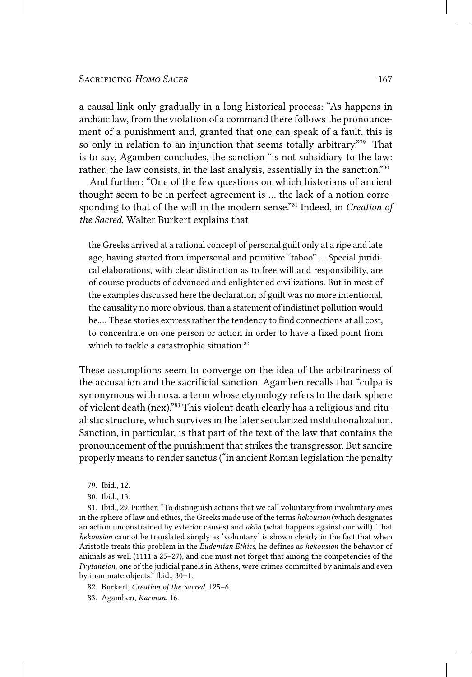a causal link only gradually in a long historical process: "As happens in archaic law, from the violation of a command there follows the pronouncement of a punishment and, granted that one can speak of a fault, this is so only in relation to an injunction that seems totally arbitrary."<sup>79</sup> That is to say, Agamben concludes, the sanction "is not subsidiary to the law: rather, the law consists, in the last analysis, essentially in the sanction."80

And further: "One of the few questions on which historians of ancient thought seem to be in perfect agreement is … the lack of a notion corresponding to that of the will in the modern sense."81 Indeed, in *Creation of the Sacred*, Walter Burkert explains that

the Greeks arrived at a rational concept of personal guilt only at a ripe and late age, having started from impersonal and primitive "taboo" … Special juridical elaborations, with clear distinction as to free will and responsibility, are of course products of advanced and enlightened civilizations. But in most of the examples discussed here the declaration of guilt was no more intentional, the causality no more obvious, than a statement of indistinct pollution would be.… These stories express rather the tendency to find connections at all cost, to concentrate on one person or action in order to have a fixed point from which to tackle a catastrophic situation.<sup>82</sup>

These assumptions seem to converge on the idea of the arbitrariness of the accusation and the sacrificial sanction. Agamben recalls that "culpa is synonymous with noxa, a term whose etymology refers to the dark sphere of violent death (nex)."83 This violent death clearly has a religious and ritualistic structure, which survives in the later secularized institutionalization. Sanction, in particular, is that part of the text of the law that contains the pronouncement of the punishment that strikes the transgressor. But sancire properly means to render sanctus ("in ancient Roman legislation the penalty

81. Ibid., 29. Further: "To distinguish actions that we call voluntary from involuntary ones in the sphere of law and ethics, the Greeks made use of the terms *hekousion* (which designates an action unconstrained by exterior causes) and *akōn* (what happens against our will). That *hekousion* cannot be translated simply as 'voluntary' is shown clearly in the fact that when Aristotle treats this problem in the *Eudemian Ethics*, he defines as *hekousion* the behavior of animals as well (1111 a 25–27), and one must not forget that among the competencies of the *Prytaneion*, one of the judicial panels in Athens, were crimes committed by animals and even by inanimate objects." Ibid., 30–1.

82. Burkert, *Creation of the Sacred*, 125–6.

83. Agamben, *Karman*, 16.

<sup>79.</sup> Ibid., 12.

<sup>80.</sup> Ibid., 13.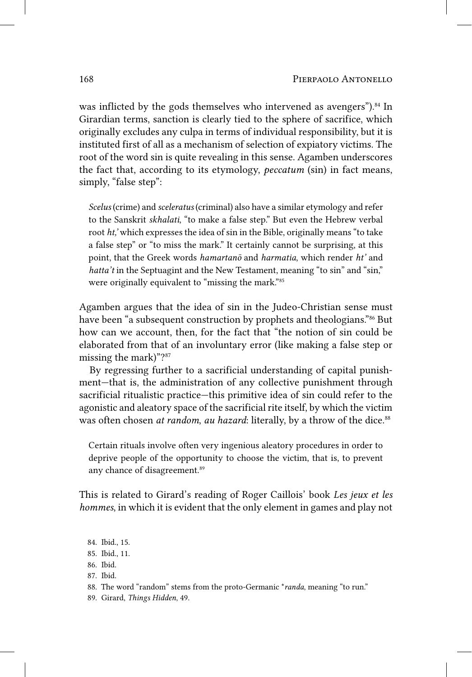was inflicted by the gods themselves who intervened as avengers").<sup>84</sup> In Girardian terms, sanction is clearly tied to the sphere of sacrifice, which originally excludes any culpa in terms of individual responsibility, but it is instituted first of all as a mechanism of selection of expiatory victims. The root of the word sin is quite revealing in this sense. Agamben underscores the fact that, according to its etymology, *peccatum* (sin) in fact means, simply, "false step":

*Scelus* (crime) and *sceleratus* (criminal) also have a similar etymology and refer to the Sanskrit *skhalati*, "to make a false step." But even the Hebrew verbal root *ht,'* which expresses the idea of sin in the Bible, originally means "to take a false step" or "to miss the mark." It certainly cannot be surprising, at this point, that the Greek words *hamartanō* and *harmatia*, which render *ht'* and *hatta't* in the Septuagint and the New Testament, meaning "to sin" and "sin," were originally equivalent to "missing the mark."85

Agamben argues that the idea of sin in the Judeo-Christian sense must have been "a subsequent construction by prophets and theologians."<sup>86</sup> But how can we account, then, for the fact that "the notion of sin could be elaborated from that of an involuntary error (like making a false step or missing the mark)"?87

By regressing further to a sacrificial understanding of capital punishment—that is, the administration of any collective punishment through sacrificial ritualistic practice—this primitive idea of sin could refer to the agonistic and aleatory space of the sacrificial rite itself, by which the victim was often chosen *at random, au hazard*: literally, by a throw of the dice.<sup>88</sup>

Certain rituals involve often very ingenious aleatory procedures in order to deprive people of the opportunity to choose the victim, that is, to prevent any chance of disagreement.<sup>89</sup>

This is related to Girard's reading of Roger Caillois' book *Les jeux et les hommes*, in which it is evident that the only element in games and play not

- 87. Ibid.
- 88. The word "random" stems from the proto-Germanic \**randa*, meaning "to run."
- 89. Girard, *Things Hidden*, 49.

<sup>84.</sup> Ibid., 15.

<sup>85.</sup> Ibid., 11.

<sup>86.</sup> Ibid.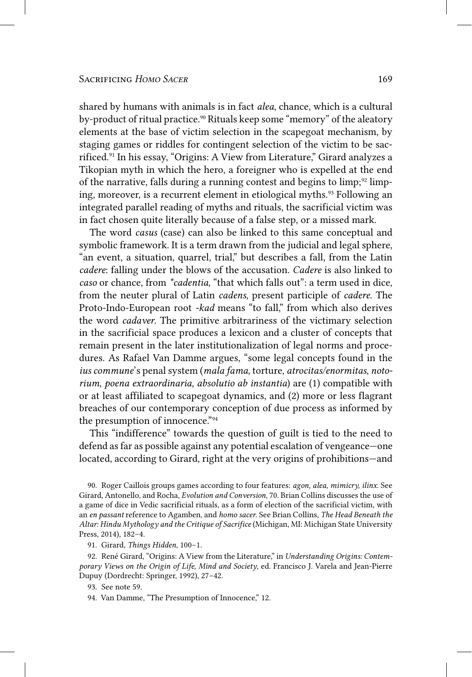shared by humans with animals is in fact *alea*, chance, which is a cultural by-product of ritual practice.<sup>90</sup> Rituals keep some "memory" of the aleatory elements at the base of victim selection in the scapegoat mechanism, by staging games or riddles for contingent selection of the victim to be sacrificed.91 In his essay, "Origins: A View from Literature," Girard analyzes a Tikopian myth in which the hero, a foreigner who is expelled at the end of the narrative, falls during a running contest and begins to  $\lim_{y \to 2}$  limping, moreover, is a recurrent element in etiological myths.<sup>93</sup> Following an integrated parallel reading of myths and rituals, the sacrificial victim was in fact chosen quite literally because of a false step, or a missed mark.

The word *casus* (case) can also be linked to this same conceptual and symbolic framework. It is a term drawn from the judicial and legal sphere, "an event, a situation, quarrel, trial," but describes a fall, from the Latin *cadere*: falling under the blows of the accusation. *Cadere* is also linked to *caso* or chance, from *\*cadentia*, "that which falls out": a term used in dice, from the neuter plural of Latin *cadens*, present participle of *cadere*. The Proto-Indo-European root *-kad* means "to fall," from which also derives the word *cadaver*. The primitive arbitrariness of the victimary selection in the sacrificial space produces a lexicon and a cluster of concepts that remain present in the later institutionalization of legal norms and procedures. As Rafael Van Damme argues, "some legal concepts found in the *ius commune*'s penal system (*mala fama*, torture, *atrocitas/enormitas*, *notorium*, *poena extraordinaria*, *absolutio ab instantia*) are (1) compatible with or at least affiliated to scapegoat dynamics, and (2) more or less flagrant breaches of our contemporary conception of due process as informed by the presumption of innocence."94

This "indifference" towards the question of guilt is tied to the need to defend as far as possible against any potential escalation of vengeance—one located, according to Girard, right at the very origins of prohibitions—and

90. Roger Caillois groups games according to four features: *agon, alea, mimicry, ilinx*. See Girard, Antonello, and Rocha, *Evolution and Conversion*, 70. Brian Collins discusses the use of a game of dice in Vedic sacrificial rituals, as a form of election of the sacrificial victim, with an *en passant* reference to Agamben, and *homo sacer*. See Brian Collins, *The Head Beneath the Altar: Hindu Mythology and the Critique of Sacrifice* (Michigan, MI: Michigan State University Press, 2014), 182–4.

91. Girard, *Things Hidden*, 100–1.

92. René Girard, "Origins: A View from the Literature," in *Understanding Origins: Contemporary Views on the Origin of Life, Mind and Society*, ed. Francisco J. Varela and Jean-Pierre Dupuy (Dordrecht: Springer, 1992), 27–42.

93. See note 59.

94. Van Damme, "The Presumption of Innocence," 12.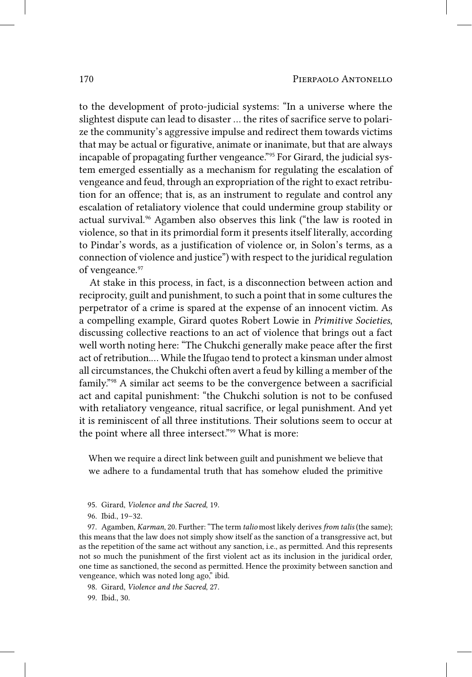to the development of proto-judicial systems: "In a universe where the slightest dispute can lead to disaster … the rites of sacrifice serve to polarize the community's aggressive impulse and redirect them towards victims that may be actual or figurative, animate or inanimate, but that are always incapable of propagating further vengeance."95 For Girard, the judicial system emerged essentially as a mechanism for regulating the escalation of vengeance and feud, through an expropriation of the right to exact retribution for an offence; that is, as an instrument to regulate and control any escalation of retaliatory violence that could undermine group stability or actual survival.<sup>96</sup> Agamben also observes this link ("the law is rooted in violence, so that in its primordial form it presents itself literally, according to Pindar's words, as a justification of violence or, in Solon's terms, as a connection of violence and justice") with respect to the juridical regulation of vengeance.<sup>97</sup>

At stake in this process, in fact, is a disconnection between action and reciprocity, guilt and punishment, to such a point that in some cultures the perpetrator of a crime is spared at the expense of an innocent victim. As a compelling example, Girard quotes Robert Lowie in *Primitive Societies*, discussing collective reactions to an act of violence that brings out a fact well worth noting here: "The Chukchi generally make peace after the first act of retribution.… While the Ifugao tend to protect a kinsman under almost all circumstances, the Chukchi often avert a feud by killing a member of the family."98 A similar act seems to be the convergence between a sacrificial act and capital punishment: "the Chukchi solution is not to be confused with retaliatory vengeance, ritual sacrifice, or legal punishment. And yet it is reminiscent of all three institutions. Their solutions seem to occur at the point where all three intersect."<sup>99</sup> What is more:

When we require a direct link between guilt and punishment we believe that we adhere to a fundamental truth that has somehow eluded the primitive

- 95. Girard, *Violence and the Sacred*, 19.
- 96. Ibid., 19–32.

97. Agamben, *Karman*, 20. Further: "The term *talio* most likely derives *from talis* (the same); this means that the law does not simply show itself as the sanction of a transgressive act, but as the repetition of the same act without any sanction, i.e., as permitted. And this represents not so much the punishment of the first violent act as its inclusion in the juridical order, one time as sanctioned, the second as permitted. Hence the proximity between sanction and vengeance, which was noted long ago," ibid.

98. Girard, *Violence and the Sacred*, 27.

99. Ibid., 30.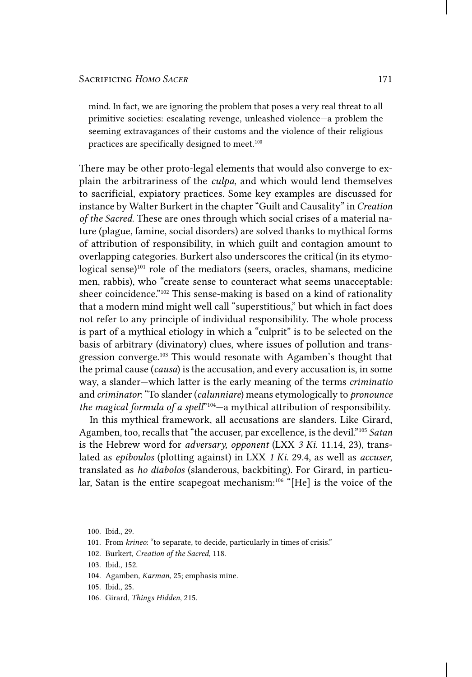mind. In fact, we are ignoring the problem that poses a very real threat to all primitive societies: escalating revenge, unleashed violence—a problem the seeming extravagances of their customs and the violence of their religious practices are specifically designed to meet.<sup>100</sup>

There may be other proto-legal elements that would also converge to explain the arbitrariness of the *culpa*, and which would lend themselves to sacrificial, expiatory practices. Some key examples are discussed for instance by Walter Burkert in the chapter "Guilt and Causality" in *Creation of the Sacred*. These are ones through which social crises of a material nature (plague, famine, social disorders) are solved thanks to mythical forms of attribution of responsibility, in which guilt and contagion amount to overlapping categories. Burkert also underscores the critical (in its etymological sense)<sup>101</sup> role of the mediators (seers, oracles, shamans, medicine men, rabbis), who "create sense to counteract what seems unacceptable: sheer coincidence."102 This sense-making is based on a kind of rationality that a modern mind might well call "superstitious," but which in fact does not refer to any principle of individual responsibility. The whole process is part of a mythical etiology in which a "culprit" is to be selected on the basis of arbitrary (divinatory) clues, where issues of pollution and transgression converge.<sup>103</sup> This would resonate with Agamben's thought that the primal cause (*causa*) is the accusation, and every accusation is, in some way, a slander—which latter is the early meaning of the terms *criminatio* and *criminator*: "To slander (*calunniare*) means etymologically to *pronounce the magical formula of a spell*"104—a mythical attribution of responsibility.

In this mythical framework, all accusations are slanders. Like Girard, Agamben, too, recalls that "the accuser, par excellence, is the devil."105 *Satan* is the Hebrew word for *adversary, opponent* (LXX *3 Ki.* 11.14, 23), translated as *epiboulos* (plotting against) in LXX *1 Ki.* 29.4, as well as *accuser*, translated as *ho diabolos* (slanderous, backbiting). For Girard, in particular, Satan is the entire scapegoat mechanism:<sup>106</sup> "[He] is the voice of the

100. Ibid., 29.

- 101. From *krineo*: "to separate, to decide, particularly in times of crisis."
- 102. Burkert, *Creation of the Sacred*, 118.
- 103. Ibid., 152.
- 104. Agamben, *Karman*, 25; emphasis mine.
- 105. Ibid., 25.
- 106. Girard, *Things Hidden*, 215.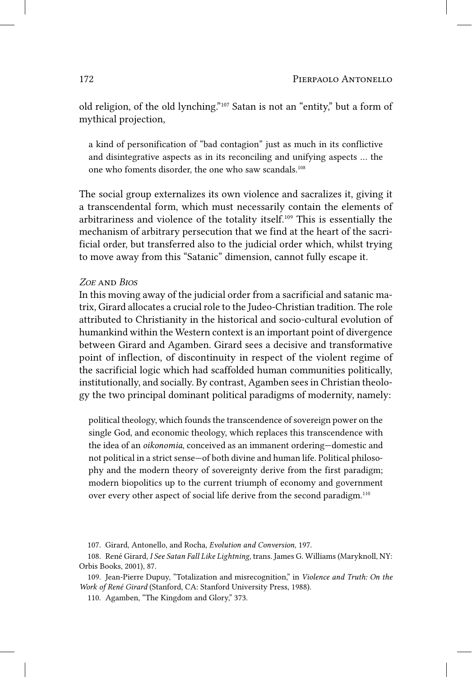old religion, of the old lynching."107 Satan is not an "entity," but a form of mythical projection,

a kind of personification of "bad contagion" just as much in its conflictive and disintegrative aspects as in its reconciling and unifying aspects … the one who foments disorder, the one who saw scandals.108

The social group externalizes its own violence and sacralizes it, giving it a transcendental form, which must necessarily contain the elements of arbitrariness and violence of the totality itself.109 This is essentially the mechanism of arbitrary persecution that we find at the heart of the sacrificial order, but transferred also to the judicial order which, whilst trying to move away from this "Satanic" dimension, cannot fully escape it.

## *Zoe* and *Bios*

In this moving away of the judicial order from a sacrificial and satanic matrix, Girard allocates a crucial role to the Judeo-Christian tradition. The role attributed to Christianity in the historical and socio-cultural evolution of humankind within the Western context is an important point of divergence between Girard and Agamben. Girard sees a decisive and transformative point of inflection, of discontinuity in respect of the violent regime of the sacrificial logic which had scaffolded human communities politically, institutionally, and socially. By contrast, Agamben sees in Christian theology the two principal dominant political paradigms of modernity, namely:

political theology, which founds the transcendence of sovereign power on the single God, and economic theology, which replaces this transcendence with the idea of an *oikonomia*, conceived as an immanent ordering—domestic and not political in a strict sense—of both divine and human life. Political philosophy and the modern theory of sovereignty derive from the first paradigm; modern biopolitics up to the current triumph of economy and government over every other aspect of social life derive from the second paradigm.110

<sup>107.</sup> Girard, Antonello, and Rocha, *Evolution and Conversion*, 197.

<sup>108.</sup> René Girard, *I See Satan Fall Like Lightning*, trans. James G. Williams (Maryknoll, NY: Orbis Books, 2001), 87.

<sup>109.</sup> Jean-Pierre Dupuy, "Totalization and misrecognition," in *Violence and Truth: On the Work of René Girard* (Stanford, CA: Stanford University Press, 1988).

<sup>110.</sup> Agamben, "The Kingdom and Glory," 373.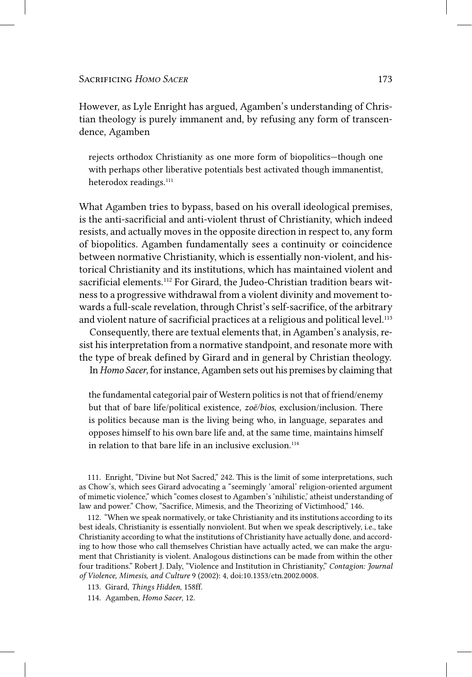However, as Lyle Enright has argued, Agamben's understanding of Christian theology is purely immanent and, by refusing any form of transcendence, Agamben

rejects orthodox Christianity as one more form of biopolitics—though one with perhaps other liberative potentials best activated though immanentist, heterodox readings.<sup>111</sup>

What Agamben tries to bypass, based on his overall ideological premises, is the anti-sacrificial and anti-violent thrust of Christianity, which indeed resists, and actually moves in the opposite direction in respect to, any form of biopolitics. Agamben fundamentally sees a continuity or coincidence between normative Christianity, which is essentially non-violent, and historical Christianity and its institutions, which has maintained violent and sacrificial elements.<sup>112</sup> For Girard, the Judeo-Christian tradition bears witness to a progressive withdrawal from a violent divinity and movement towards a full-scale revelation, through Christ's self-sacrifice, of the arbitrary and violent nature of sacrificial practices at a religious and political level.<sup>113</sup>

Consequently, there are textual elements that, in Agamben's analysis, resist his interpretation from a normative standpoint, and resonate more with the type of break defined by Girard and in general by Christian theology. In *Homo Sacer*, for instance, Agamben sets out his premises by claiming that

the fundamental categorial pair of Western politics is not that of friend/enemy but that of bare life/political existence, *zoē/bios*, exclusion/inclusion. There is politics because man is the living being who, in language, separates and opposes himself to his own bare life and, at the same time, maintains himself in relation to that bare life in an inclusive exclusion.<sup>114</sup>

111. Enright, "Divine but Not Sacred," 242. This is the limit of some interpretations, such as Chow's, which sees Girard advocating a "seemingly 'amoral' religion-oriented argument of mimetic violence," which "comes closest to Agamben's 'nihilistic,' atheist understanding of law and power." Chow, "Sacrifice, Mimesis, and the Theorizing of Victimhood," 146.

112. "When we speak normatively, or take Christianity and its institutions according to its best ideals, Christianity is essentially nonviolent. But when we speak descriptively, i.e., take Christianity according to what the institutions of Christianity have actually done, and according to how those who call themselves Christian have actually acted, we can make the argument that Christianity is violent. Analogous distinctions can be made from within the other four traditions." Robert J. Daly, "Violence and Institution in Christianity," *Contagion: Journal of Violence, Mimesis, and Culture* 9 (2002): 4, doi:10.1353/ctn.2002.0008.

113. Girard, *Things Hidden*, 158ff.

114. Agamben, *Homo Sacer*, 12.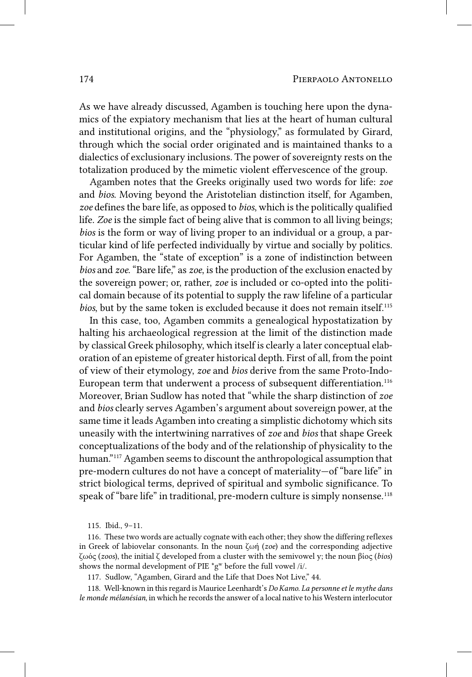As we have already discussed, Agamben is touching here upon the dynamics of the expiatory mechanism that lies at the heart of human cultural and institutional origins, and the "physiology," as formulated by Girard, through which the social order originated and is maintained thanks to a dialectics of exclusionary inclusions. The power of sovereignty rests on the totalization produced by the mimetic violent effervescence of the group.

Agamben notes that the Greeks originally used two words for life: *zoe* and *bios*. Moving beyond the Aristotelian distinction itself, for Agamben, *zoe* defines the bare life, as opposed to *bios*, which is the politically qualified life. *Zoe* is the simple fact of being alive that is common to all living beings; *bios* is the form or way of living proper to an individual or a group, a particular kind of life perfected individually by virtue and socially by politics. For Agamben, the "state of exception" is a zone of indistinction between *bios* and *zoe*. "Bare life," as *zoe*, is the production of the exclusion enacted by the sovereign power; or, rather, *zoe* is included or co-opted into the political domain because of its potential to supply the raw lifeline of a particular *bios*, but by the same token is excluded because it does not remain itself.<sup>115</sup>

In this case, too, Agamben commits a genealogical hypostatization by halting his archaeological regression at the limit of the distinction made by classical Greek philosophy, which itself is clearly a later conceptual elaboration of an episteme of greater historical depth. First of all, from the point of view of their etymology, *zoe* and *bios* derive from the same Proto-Indo-European term that underwent a process of subsequent differentiation.<sup>116</sup> Moreover, Brian Sudlow has noted that "while the sharp distinction of *zoe* and *bios* clearly serves Agamben's argument about sovereign power, at the same time it leads Agamben into creating a simplistic dichotomy which sits uneasily with the intertwining narratives of *zoe* and *bios* that shape Greek conceptualizations of the body and of the relationship of physicality to the human."117 Agamben seems to discount the anthropological assumption that pre-modern cultures do not have a concept of materiality—of "bare life" in strict biological terms, deprived of spiritual and symbolic significance. To speak of "bare life" in traditional, pre-modern culture is simply nonsense.<sup>118</sup>

117. Sudlow, "Agamben, Girard and the Life that Does Not Live," 44.

118. Well-known in this regard is Maurice Leenhardt's *Do Kamo. La personne et le mythe dans le monde mélanésian*, in which he records the answer of a local native to his Western interlocutor

<sup>115.</sup> Ibid., 9–11.

<sup>116.</sup> These two words are actually cognate with each other; they show the differing reflexes in Greek of labiovelar consonants. In the noun ζωή (*zoe*) and the corresponding adjective ζωός (*zoos*), the initial ζ developed from a cluster with the semivowel y; the noun βίος (*bios*) shows the normal development of PIE  $^*g^w$  before the full vowel /i/.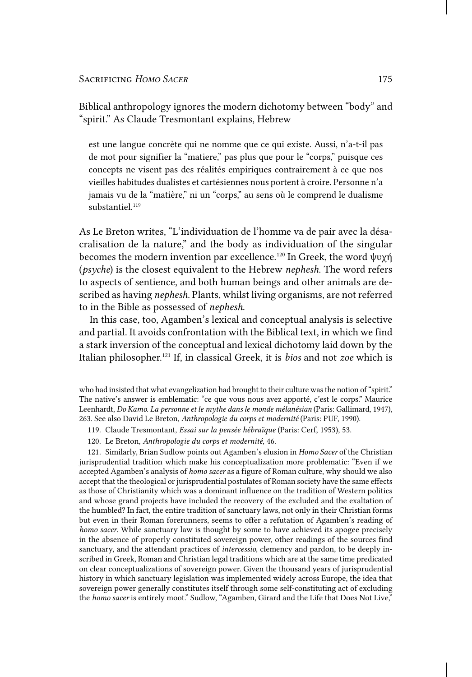Biblical anthropology ignores the modern dichotomy between "body" and "spirit." As Claude Tresmontant explains, Hebrew

est une langue concrète qui ne nomme que ce qui existe. Aussi, n'a-t-il pas de mot pour signifier la "matiere," pas plus que pour le "corps," puisque ces concepts ne visent pas des réalités empiriques contrairement à ce que nos vieilles habitudes dualistes et cartésiennes nous portent à croire. Personne n'a jamais vu de la "matière," ni un "corps," au sens où le comprend le dualisme substantiel<sup>119</sup>

As Le Breton writes, "L'individuation de l'homme va de pair avec la désacralisation de la nature," and the body as individuation of the singular becomes the modern invention par excellence.120 In Greek, the word ψυχή (*psyche*) is the closest equivalent to the Hebrew *nephesh*. The word refers to aspects of sentience, and both human beings and other animals are described as having *nephesh*. Plants, whilst living organisms, are not referred to in the Bible as possessed of *nephesh*.

In this case, too, Agamben's lexical and conceptual analysis is selective and partial. It avoids confrontation with the Biblical text, in which we find a stark inversion of the conceptual and lexical dichotomy laid down by the Italian philosopher.121 If, in classical Greek, it is *bios* and not *zoe* which is

who had insisted that what evangelization had brought to their culture was the notion of "spirit." The native's answer is emblematic: "ce que vous nous avez apporté, c'est le corps." Maurice Leenhardt, *Do Kamo. La personne et le mythe dans le monde mélanésian* (Paris: Gallimard, 1947), 263. See also David Le Breton, *Anthropologie du corps et modernité* (Paris: PUF, 1990).

- 119. Claude Tresmontant, *Essai sur la pensée hébraïque* (Paris: Cerf, 1953), 53.
- 120. Le Breton, *Anthropologie du corps et modernité*, 46.

121. Similarly, Brian Sudlow points out Agamben's elusion in *Homo Sacer* of the Christian jurisprudential tradition which make his conceptualization more problematic: "Even if we accepted Agamben's analysis of *homo sacer* as a figure of Roman culture, why should we also accept that the theological or jurisprudential postulates of Roman society have the same effects as those of Christianity which was a dominant influence on the tradition of Western politics and whose grand projects have included the recovery of the excluded and the exaltation of the humbled? In fact, the entire tradition of sanctuary laws, not only in their Christian forms but even in their Roman forerunners, seems to offer a refutation of Agamben's reading of *homo sacer*. While sanctuary law is thought by some to have achieved its apogee precisely in the absence of properly constituted sovereign power, other readings of the sources find sanctuary, and the attendant practices of *intercessio*, clemency and pardon, to be deeply inscribed in Greek, Roman and Christian legal traditions which are at the same time predicated on clear conceptualizations of sovereign power. Given the thousand years of jurisprudential history in which sanctuary legislation was implemented widely across Europe, the idea that sovereign power generally constitutes itself through some self-constituting act of excluding the *homo sacer* is entirely moot." Sudlow, "Agamben, Girard and the Life that Does Not Live,"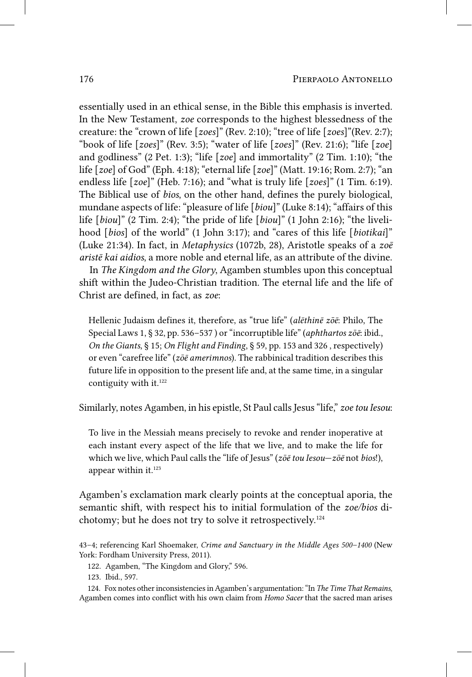essentially used in an ethical sense, in the Bible this emphasis is inverted. In the New Testament, *zoe* corresponds to the highest blessedness of the creature: the "crown of life [*zoes*]" (Rev. 2:10); "tree of life [*zoes*]"(Rev. 2:7); "book of life [*zoes*]" (Rev. 3:5); "water of life [*zoes*]" (Rev. 21:6); "life [*zoe*] and godliness" (2 Pet. 1:3); "life [*zoe*] and immortality" (2 Tim. 1:10); "the life [*zoe*] of God" (Eph. 4:18); "eternal life [*zoe*]" (Matt. 19:16; Rom. 2:7); "an endless life [*zoe*]" (Heb. 7:16); and "what is truly life [*zoes*]" (1 Tim. 6:19). The Biblical use of *bios*, on the other hand, defines the purely biological, mundane aspects of life: "pleasure of life [*biou*]" (Luke 8:14); "affairs of this life [*biou*]" (2 Tim. 2:4); "the pride of life [*biou*]" (1 John 2:16); "the livelihood [*bios*] of the world" (1 John 3:17); and "cares of this life [*biotikai*]" (Luke 21:34). In fact, in *Metaphysics* (1072b, 28), Aristotle speaks of a *zoē aristē kai aidios*, a more noble and eternal life, as an attribute of the divine.

In *The Kingdom and the Glory*, Agamben stumbles upon this conceptual shift within the Judeo-Christian tradition. The eternal life and the life of Christ are defined, in fact, as *zoe*:

Hellenic Judaism defines it, therefore, as "true life" (*alēthinē zōē*: Philo, The Special Laws 1, § 32, pp. 536–537 ) or "incorruptible life" (*aphthartos zōē*: ibid., *On the Giants*, § 15; *On Flight and Finding*, § 59, pp. 153 and 326 , respectively) or even "carefree life" (*zōē amerimnos*). The rabbinical tradition describes this future life in opposition to the present life and, at the same time, in a singular contiguity with it.<sup>122</sup>

Similarly, notes Agamben, in his epistle, St Paul calls Jesus "life," *zoe tou Iesou*:

To live in the Messiah means precisely to revoke and render inoperative at each instant every aspect of the life that we live, and to make the life for which we live, which Paul calls the "life of Jesus" (*zōē tou Iesou*—*zōē* not *bios*!), appear within it.<sup>123</sup>

Agamben's exclamation mark clearly points at the conceptual aporia, the semantic shift, with respect his to initial formulation of the *zoe/bios* dichotomy; but he does not try to solve it retrospectively.124

43–4; referencing Karl Shoemaker, *Crime and Sanctuary in the Middle Ages 500–1400* (New York: Fordham University Press, 2011).

122. Agamben, "The Kingdom and Glory," 596.

123. Ibid., 597.

124. Fox notes other inconsistencies in Agamben's argumentation: "In *The Time That Remains*, Agamben comes into conflict with his own claim from *Homo Sacer* that the sacred man arises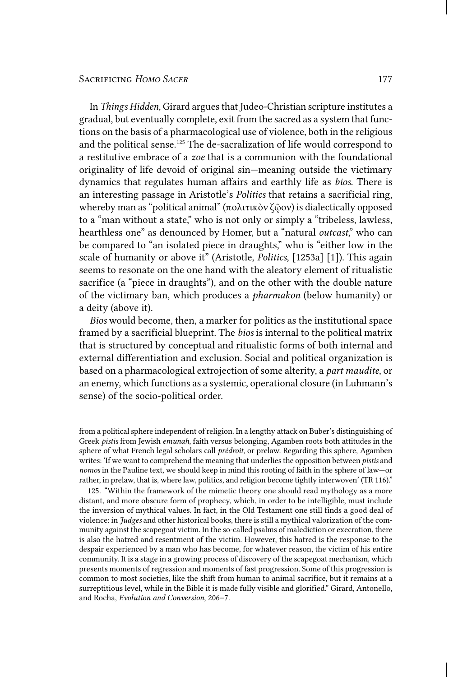In *Things Hidden*, Girard argues that Judeo-Christian scripture institutes a gradual, but eventually complete, exit from the sacred as a system that functions on the basis of a pharmacological use of violence, both in the religious and the political sense.125 The de-sacralization of life would correspond to a restitutive embrace of a *zoe* that is a communion with the foundational originality of life devoid of original sin—meaning outside the victimary dynamics that regulates human affairs and earthly life as *bios*. There is an interesting passage in Aristotle's *Politics* that retains a sacrificial ring, whereby man as "political animal" (πολιτικὸν ζῷον) is dialectically opposed to a "man without a state," who is not only or simply a "tribeless, lawless, hearthless one" as denounced by Homer, but a "natural *outcast*," who can be compared to "an isolated piece in draughts," who is "either low in the scale of humanity or above it" (Aristotle, *Politics*, [1253a] [1]). This again seems to resonate on the one hand with the aleatory element of ritualistic sacrifice (a "piece in draughts"), and on the other with the double nature of the victimary ban, which produces a *pharmakon* (below humanity) or a deity (above it).

*Bios* would become, then, a marker for politics as the institutional space framed by a sacrificial blueprint. The *bios* is internal to the political matrix that is structured by conceptual and ritualistic forms of both internal and external differentiation and exclusion. Social and political organization is based on a pharmacological extrojection of some alterity, a *part maudite*, or an enemy, which functions as a systemic, operational closure (in Luhmann's sense) of the socio-political order.

from a political sphere independent of religion. In a lengthy attack on Buber's distinguishing of Greek *pistis* from Jewish *emunah*, faith versus belonging, Agamben roots both attitudes in the sphere of what French legal scholars call *prédroit*, or prelaw. Regarding this sphere, Agamben writes: 'If we want to comprehend the meaning that underlies the opposition between *pistis* and *nomos* in the Pauline text, we should keep in mind this rooting of faith in the sphere of law—or rather, in prelaw, that is, where law, politics, and religion become tightly interwoven' (TR 116)."

125. "Within the framework of the mimetic theory one should read mythology as a more distant, and more obscure form of prophecy, which, in order to be intelligible, must include the inversion of mythical values. In fact, in the Old Testament one still finds a good deal of violence: in *Judges* and other historical books, there is still a mythical valorization of the community against the scapegoat victim. In the so-called psalms of malediction or execration, there is also the hatred and resentment of the victim. However, this hatred is the response to the despair experienced by a man who has become, for whatever reason, the victim of his entire community. It is a stage in a growing process of discovery of the scapegoat mechanism, which presents moments of regression and moments of fast progression. Some of this progression is common to most societies, like the shift from human to animal sacrifice, but it remains at a surreptitious level, while in the Bible it is made fully visible and glorified." Girard, Antonello, and Rocha, *Evolution and Conversion*, 206–7.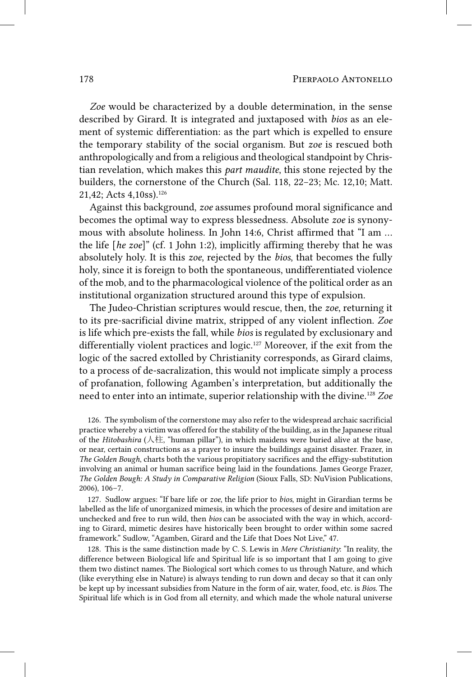*Zoe* would be characterized by a double determination, in the sense described by Girard. It is integrated and juxtaposed with *bios* as an element of systemic differentiation: as the part which is expelled to ensure the temporary stability of the social organism. But *zoe* is rescued both anthropologically and from a religious and theological standpoint by Christian revelation, which makes this *part maudite*, this stone rejected by the builders, the cornerstone of the Church (Sal. 118, 22–23; Mc. 12,10; Matt. 21,42; Acts 4,10ss).126

Against this background, *zoe* assumes profound moral significance and becomes the optimal way to express blessedness. Absolute *zoe* is synonymous with absolute holiness. In John 14:6, Christ affirmed that "I am … the life [*he zoe*]" (cf. 1 John 1:2), implicitly affirming thereby that he was absolutely holy. It is this *zoe*, rejected by the *bios*, that becomes the fully holy, since it is foreign to both the spontaneous, undifferentiated violence of the mob, and to the pharmacological violence of the political order as an institutional organization structured around this type of expulsion.

The Judeo-Christian scriptures would rescue, then, the *zoe*, returning it to its pre-sacrificial divine matrix, stripped of any violent inflection. *Zoe* is life which pre-exists the fall, while *bios* is regulated by exclusionary and differentially violent practices and logic.127 Moreover, if the exit from the logic of the sacred extolled by Christianity corresponds, as Girard claims, to a process of de-sacralization, this would not implicate simply a process of profanation, following Agamben's interpretation, but additionally the need to enter into an intimate, superior relationship with the divine.128 *Zoe*

126. The symbolism of the cornerstone may also refer to the widespread archaic sacrificial practice whereby a victim was offered for the stability of the building, as in the Japanese ritual of the *Hitobashira* (人柱, "human pillar"), in which maidens were buried alive at the base, or near, certain constructions as a prayer to insure the buildings against disaster. Frazer, in *The Golden Bough*, charts both the various propitiatory sacrifices and the effigy-substitution involving an animal or human sacrifice being laid in the foundations. James George Frazer, *The Golden Bough: A Study in Comparative Religion* (Sioux Falls, SD: NuVision Publications, 2006), 106–7.

127. Sudlow argues: "If bare life or *zoe*, the life prior to *bios*, might in Girardian terms be labelled as the life of unorganized mimesis, in which the processes of desire and imitation are unchecked and free to run wild, then *bios* can be associated with the way in which, according to Girard, mimetic desires have historically been brought to order within some sacred framework." Sudlow, "Agamben, Girard and the Life that Does Not Live," 47.

128. This is the same distinction made by C. S. Lewis in *Mere Christianity*: "In reality, the difference between Biological life and Spiritual life is so important that I am going to give them two distinct names. The Biological sort which comes to us through Nature, and which (like everything else in Nature) is always tending to run down and decay so that it can only be kept up by incessant subsidies from Nature in the form of air, water, food, etc. is *Bios*. The Spiritual life which is in God from all eternity, and which made the whole natural universe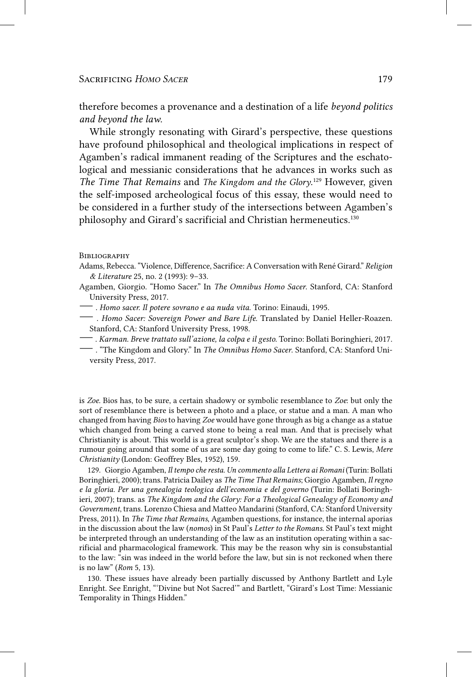therefore becomes a provenance and a destination of a life *beyond politics and beyond the law*.

While strongly resonating with Girard's perspective, these questions have profound philosophical and theological implications in respect of Agamben's radical immanent reading of the Scriptures and the eschatological and messianic considerations that he advances in works such as *The Time That Remains* and *The Kingdom and the Glory*. 129 However, given the self-imposed archeological focus of this essay, these would need to be considered in a further study of the intersections between Agamben's philosophy and Girard's sacrificial and Christian hermeneutics.<sup>130</sup>

#### **BIBLIOGRAPHY**

- Adams, Rebecca. "Violence, Difference, Sacrifice: A Conversation with René Girard." *Religion & Literature* 25, no. 2 (1993): 9–33.
- Agamben, Giorgio. "Homo Sacer." In *The Omnibus Homo Sacer*. Stanford, CA: Stanford University Press, 2017.
- —. *Homo sacer. Il potere sovrano e aa nuda vita.* Torino: Einaudi, 1995.
- . *Homo Sacer: Sovereign Power and Bare Life.* Translated by Daniel Heller-Roazen. Stanford, CA: Stanford University Press, 1998.
- —. *Karman. Breve trattato sull'azione, la colpa e il gesto.* Torino: Bollati Boringhieri, 2017.
- —. "The Kingdom and Glory." In *The Omnibus Homo Sacer*. Stanford, CA: Stanford University Press, 2017.

is *Zoe*. Bios has, to be sure, a certain shadowy or symbolic resemblance to *Zoe*: but only the sort of resemblance there is between a photo and a place, or statue and a man. A man who changed from having *Bios* to having *Zoe* would have gone through as big a change as a statue which changed from being a carved stone to being a real man. And that is precisely what Christianity is about. This world is a great sculptor's shop. We are the statues and there is a rumour going around that some of us are some day going to come to life." C. S. Lewis, *Mere Christianity* (London: Geoffrey Bles, 1952), 159.

129. Giorgio Agamben, *Il tempo che resta. Un commento alla Lettera ai Romani* (Turin: Bollati Boringhieri, 2000); trans. Patricia Dailey as *The Time That Remains*; Giorgio Agamben, *Il regno e la gloria. Per una genealogia teologica dell'economia e del governo* (Turin: Bollati Boringhieri, 2007); trans. as *The Kingdom and the Glory: For a Theological Genealogy of Economy and Government*, trans. Lorenzo Chiesa and Matteo Mandarini (Stanford, CA: Stanford University Press, 2011). In *The Time that Remains*, Agamben questions, for instance, the internal aporias in the discussion about the law (*nomos*) in St Paul's *Letter to the Romans*. St Paul's text might be interpreted through an understanding of the law as an institution operating within a sacrificial and pharmacological framework. This may be the reason why sin is consubstantial to the law: "sin was indeed in the world before the law, but sin is not reckoned when there is no law" (*Rom* 5, 13).

130. These issues have already been partially discussed by Anthony Bartlett and Lyle Enright. See Enright, "'Divine but Not Sacred'" and Bartlett, "Girard's Lost Time: Messianic Temporality in Things Hidden."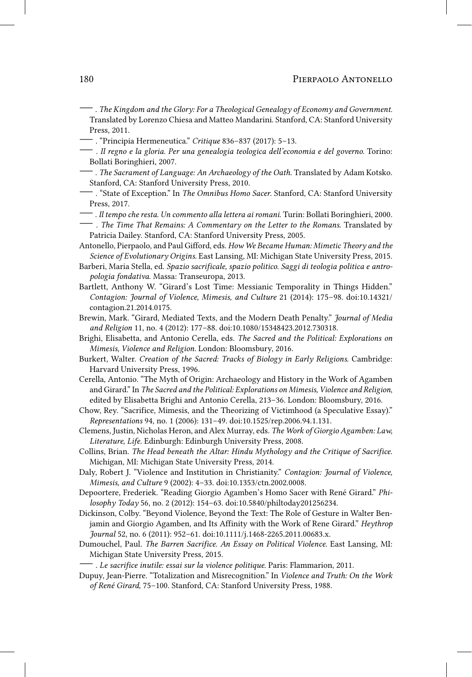#### 180 Pierpaolo Antonello

- —. *The Kingdom and the Glory: For a Theological Genealogy of Economy and Government.* Translated by Lorenzo Chiesa and Matteo Mandarini. Stanford, CA: Stanford University Press, 2011.
- —. "Principia Hermeneutica." *Critique* 836–837 (2017): 5–13.
- . *Il regno e la gloria. Per una genealogia teologica dell'economia e del governo.* Torino: Bollati Boringhieri, 2007.
- —. *The Sacrament of Language: An Archaeology of the Oath.* Translated by Adam Kotsko. Stanford, CA: Stanford University Press, 2010.
- —. "State of Exception." In *The Omnibus Homo Sacer*. Stanford, CA: Stanford University Press, 2017.
- —. *Il tempo che resta. Un commento alla lettera ai romani*. Turin: Bollati Boringhieri, 2000. — . *The Time That Remains: A Commentary on the Letter to the Romans*. Translated by Patricia Dailey. Stanford, CA: Stanford University Press, 2005.
- Antonello, Pierpaolo, and Paul Gifford, eds. *How We Became Human: Mimetic Theory and the Science of Evolutionary Origins*. East Lansing, MI: Michigan State University Press, 2015.
- Barberi, Maria Stella, ed. *Spazio sacrificale, spazio politico. Saggi di teologia politica e antropologia fondativa*. Massa: Transeuropa, 2013.
- Bartlett, Anthony W. "Girard's Lost Time: Messianic Temporality in Things Hidden." *Contagion: Journal of Violence, Mimesis, and Culture* 21 (2014): 175–98. doi:10.14321/ contagion.21.2014.0175.
- Brewin, Mark. "Girard, Mediated Texts, and the Modern Death Penalty." *Journal of Media and Religion* 11, no. 4 (2012): 177–88. doi:10.1080/15348423.2012.730318.
- Brighi, Elisabetta, and Antonio Cerella, eds. *The Sacred and the Political: Explorations on Mimesis, Violence and Religion*. London: Bloomsbury, 2016.
- Burkert, Walter. *Creation of the Sacred: Tracks of Biology in Early Religions*. Cambridge: Harvard University Press, 1996.
- Cerella, Antonio. "The Myth of Origin: Archaeology and History in the Work of Agamben and Girard." In *The Sacred and the Political: Explorations on Mimesis, Violence and Religion*, edited by Elisabetta Brighi and Antonio Cerella, 213–36. London: Bloomsbury, 2016.
- Chow, Rey. "Sacrifice, Mimesis, and the Theorizing of Victimhood (a Speculative Essay)." *Representations* 94, no. 1 (2006): 131–49. doi:10.1525/rep.2006.94.1.131.
- Clemens, Justin, Nicholas Heron, and Alex Murray, eds. *The Work of Giorgio Agamben: Law, Literature, Life*. Edinburgh: Edinburgh University Press, 2008.
- Collins, Brian. *The Head beneath the Altar: Hindu Mythology and the Critique of Sacrifice*. Michigan, MI: Michigan State University Press, 2014.
- Daly, Robert J. "Violence and Institution in Christianity." *Contagion: Journal of Violence, Mimesis, and Culture* 9 (2002): 4–33. doi:10.1353/ctn.2002.0008.
- Depoortere, Frederiek. "Reading Giorgio Agamben's Homo Sacer with René Girard." *Philosophy Today* 56, no. 2 (2012): 154–63. doi:10.5840/philtoday201256234.
- Dickinson, Colby. "Beyond Violence, Beyond the Text: The Role of Gesture in Walter Benjamin and Giorgio Agamben, and Its Affinity with the Work of Rene Girard." *Heythrop Journal* 52, no. 6 (2011): 952–61. doi:10.1111/j.1468-2265.2011.00683.x.
- Dumouchel, Paul. *The Barren Sacrifice. An Essay on Political Violence*. East Lansing, MI: Michigan State University Press, 2015.

—. *Le sacrifice inutile: essai sur la violence politique*. Paris: Flammarion, 2011.

Dupuy, Jean-Pierre. "Totalization and Misrecognition." In *Violence and Truth: On the Work of René Girard*, 75–100. Stanford, CA: Stanford University Press, 1988.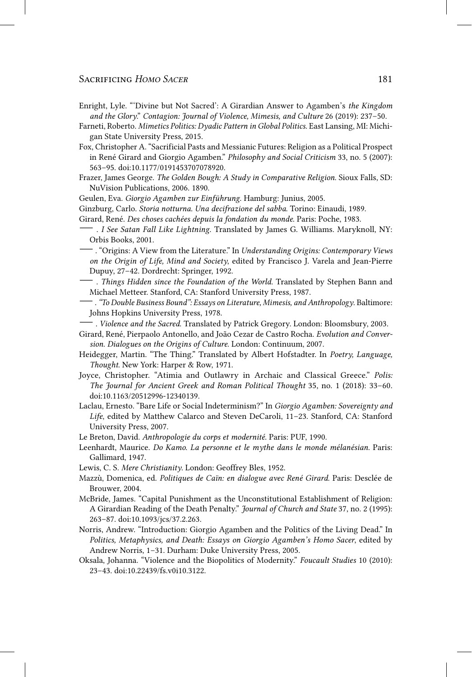- Enright, Lyle. "'Divine but Not Sacred': A Girardian Answer to Agamben's *the Kingdom and the Glory*." *Contagion: Journal of Violence, Mimesis, and Culture* 26 (2019): 237–50.
- Farneti, Roberto. *Mimetics Politics: Dyadic Pattern in Global Politics*. East Lansing, MI: Michigan State University Press, 2015.
- Fox, Christopher A. "Sacrificial Pasts and Messianic Futures: Religion as a Political Prospect in René Girard and Giorgio Agamben." *Philosophy and Social Criticism* 33, no. 5 (2007): 563–95. doi:10.1177/0191453707078920.
- Frazer, James George. *The Golden Bough: A Study in Comparative Religion*. Sioux Falls, SD: NuVision Publications, 2006. 1890.
- Geulen, Eva. *Giorgio Agamben zur Einführung*. Hamburg: Junius, 2005.
- Ginzburg, Carlo. *Storia notturna. Una decifrazione del sabba*. Torino: Einaudi, 1989.
- Girard, René. *Des choses cachées depuis la fondation du monde*. Paris: Poche, 1983.
- . *I See Satan Fall Like Lightning*. Translated by James G. Williams. Maryknoll, NY: Orbis Books, 2001.
- —. "Origins: A View from the Literature." In *Understanding Origins: Contemporary Views on the Origin of Life, Mind and Society*, edited by Francisco J. Varela and Jean-Pierre Dupuy, 27–42. Dordrecht: Springer, 1992.
- . *Things Hidden since the Foundation of the World*. Translated by Stephen Bann and Michael Metteer. Stanford, CA: Stanford University Press, 1987.
- —. *"To Double Business Bound": Essays on Literature, Mimesis, and Anthropology*. Baltimore: Johns Hopkins University Press, 1978.
- —. *Violence and the Sacred*. Translated by Patrick Gregory. London: Bloomsbury, 2003.
- Girard, René, Pierpaolo Antonello, and João Cezar de Castro Rocha. *Evolution and Conversion. Dialogues on the Origins of Culture*. London: Continuum, 2007.
- Heidegger, Martin. "The Thing." Translated by Albert Hofstadter. In *Poetry, Language, Thought*. New York: Harper & Row, 1971.
- Joyce, Christopher. "Atimia and Outlawry in Archaic and Classical Greece." *Polis: The Journal for Ancient Greek and Roman Political Thought* 35, no. 1 (2018): 33–60. doi:10.1163/20512996-12340139.
- Laclau, Ernesto. "Bare Life or Social Indeterminism?" In *Giorgio Agamben: Sovereignty and Life*, edited by Matthew Calarco and Steven DeCaroli, 11–23. Stanford, CA: Stanford University Press, 2007.
- Le Breton, David. *Anthropologie du corps et modernité*. Paris: PUF, 1990.
- Leenhardt, Maurice. *Do Kamo. La personne et le mythe dans le monde mélanésian*. Paris: Gallimard, 1947.
- Lewis, C. S. *Mere Christianity*. London: Geoffrey Bles, 1952.
- Mazzù, Domenica, ed. *Politiques de Caïn: en dialogue avec René Girard*. Paris: Desclée de Brouwer, 2004.
- McBride, James. "Capital Punishment as the Unconstitutional Establishment of Religion: A Girardian Reading of the Death Penalty." *Journal of Church and State* 37, no. 2 (1995): 263–87. doi:10.1093/jcs/37.2.263.
- Norris, Andrew. "Introduction: Giorgio Agamben and the Politics of the Living Dead." In *Politics, Metaphysics, and Death: Essays on Giorgio Agamben's Homo Sacer*, edited by Andrew Norris, 1–31. Durham: Duke University Press, 2005.
- Oksala, Johanna. "Violence and the Biopolitics of Modernity." *Foucault Studies* 10 (2010): 23–43. doi:10.22439/fs.v0i10.3122.